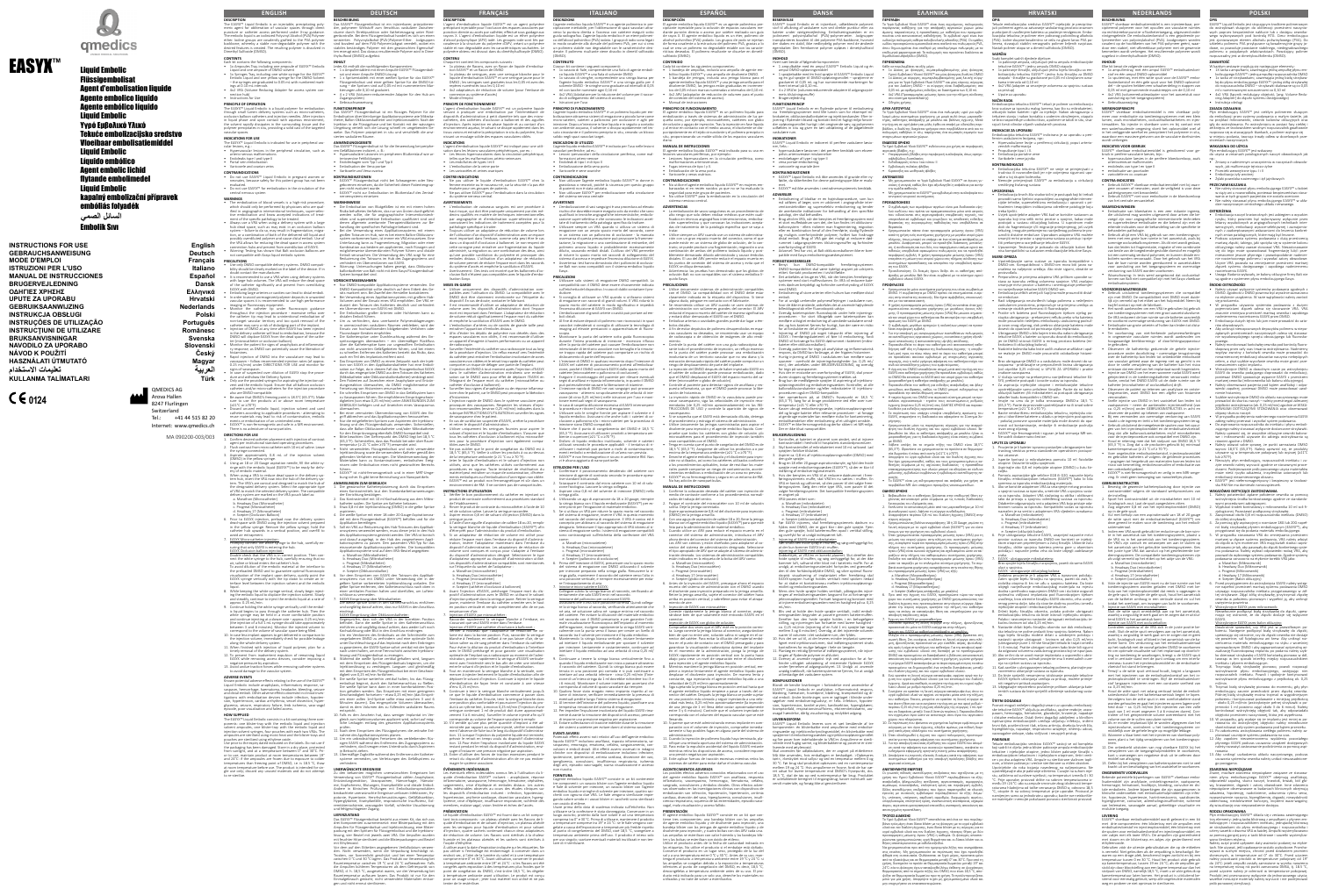EASYX™



# Liquid Embolic

Flüssigembolisat Agent d'embolisation liquide Agente embolico liquido Agente embólico líquido Liquid Embolic Υγρό Εμβολικό Υλικό Tekuće embolizacijsko sredstvo Vloeibaar embolisatiemiddel Liquid Embolic Líquido embólico Agent embolic lichid flytande embolimedel Liquid Embolic kapalný embolizační přípravek embóliás folyadék

**INSTRUCTIONS FOR USE English** GEBRAUCHSANWEISUNG **Deutsch MODE D'EMPLOI Example 2018 Français ISTRUZIONI PER L'USO Italiano MANUAL DE INSTRUCCIONES Español BRUGERVEJLEDNING Dansk ΟΔΗΓΙΕΣ ΧΡΗΣΗΣ Ελληνικά** UPUTE ZA UPORABU **Hrvatski GEBRUIKSAANWIJZING** Nederlands **INSTRUKCJA OBSŁUGI Polski INSTRUÇÕES DE UTILIZAÇÃO Português INSTRUCŢIUNI DE UTILIZARE Românesc BRUKSANVISNINGAR Svenska NAVODILO ZA UPORABO Slovenski NÁVOD K POUŽITÍ Český HASZNÁLATI ÚTMUTATÓ Magyar العربية تعليمات االستخدام KULLANMA** TALİMATLARI

**السائل الصمي** 

## Embolik Sıvı

**DESCRIPTION**

™ Liquid Embolic is an injectable, precipitating polymeric agent for obliteration of vascular spaces through direct puncture or catheter access performed under X-ray guidance. The embolic liquid is an iodinized Polyvinyl Alcohol (PVA) Polymer<br>ether. Iodine groups are covalently grafted to the PVA polymer<br>backbone, whereby a stable non-degradable polymer with the<br>desired features is created. The

arterio-venous malformations • Endoleaks type I and type II • Portal vein embolization • Varicocele and ovarian veins

**CONTENTS** Each kit contains the following components:

• 1x Ampoules Tray, including one ampoule of EASYX™ Embolic Liquid and one ampoule of DMSO solvent • 1x Syringes Tray, including one white syringe for the EASYX™ Embolic Liquid and one yellow syringe for the DMSO Solvent – the syringes are graduated to 0.05 mL with numbered markings at 0.10 mL intervals

• 4x2 VRA (Volume Reducing Adapter for access system connection hub) • Instructions for Use **PRINCIPLE OF OPERATION**

The EASYX™ Liquid Embolic is a liquid polymer for embolization through small lumen delivery systems such as micro-catheters, occlusion balloon catheters and injection needles. After injection n liquid phase and upon contact with aqueous envir the solvent rapidly dissipates in the surrounding tissue and the polymer precipitates in situ, providing a solid cast of the targeted vascular spaces.

lizing large arteries or cavities can lead to distal emboli • In order to avoid unrecognized polymer deposits in unwanted vascular spaces it is recommended to use high performance

imaging or fluoroscopy equipment.<br>
• Monitor the catheter trip under fluoroscopic guidance<br>
throughout the injection procedure - excessive reflux over<br>
the catheter tip may lead to unintentional embolization of<br>
non-targe n the delivery catheter will lead to embolization, because the

DMSO will displace EASYX from the dead space of the catherocatheter or occlusion balloon). • Monitor the patient for signs of anaphylaxis and inflammatoresponse, as DMSO can potentially cause the liberation of

**INDICATIONS FOR USE** The EASYX™ Liquid Embolic is indicated for use in peripheral vas-cular lesions, e.g.: • Hypervascular lesions in the peripheral circulation, such as

**CONTRAINDICATIONS** • Do not use EASYX™ Liquid Embolic in pregnant women or

neonates, because safety for this patient group has not been evaluated. • Do not use EASYX™ for embolization in the circulation of the central nervous system

signs of vasospasm.<br>In case of suspected over dilution of EASYX stop the proce-<br>In case of suspected over diverge y System.<br>In the provided syringes for aspirating the injection sol-<br>Only use the provided syringes for aspi atheters and/or micro-catheters for the injection procedure also are DMSO-compatible. • Be aware that DMSO's freezing point is 18.5°C (65.3°F). Make

sure to use the products at or above room temperature (≥21°C or ≥70°F). Discard unused embolic liquid, injection solvent and used ters according to applicable procedures - attem

**WARNINGS**  The embolization of blood vessels is a high-risk procedure, which should only be performed by physicians who are qualified in angiographic interventional techniques, super-selec-tive embolization and know accepted indications of treat-

reuse materials may lead to risk of contamination, embol vents or embolization of an unintended area. • EASYX™ is non-ferromagnetic and safe in a MR environment. There is no admixture of nano-particles. **DIRECTIONS FOR USE**

I. Confirmed cather of contraster placement with injection of contraster  $\epsilon$ agent per institutional standard operating procedures. 2. Flush contrast from micro catheter with 10 mL of saline. Leave the syringe connected. 3. Aspirate approximately 0.8 mL of the injection solvent

ment of the specific pathology to be treated. • Always use a VRA when using a delivery system with a large hub dead space, such as may exist in an occlusion ballo system – failure to do so, may result in fragmentation, migraion, or a combination of both of the delivered still liquid an uted polymer and cause distal emboli. Use o he VRA allows for reducing the dead space in access system ion hubs and prevent from overdilution of EASY • Warning: Testing has shown that Balt occlusion balloons are not compatible with Easyx liquid embolic system.

tem hub, insert the VRA now into the hub of the delivery sys-<br>tem. The VRA's are conical and designed to match the hub of<br>the designated delivery system. Select the appropriate type<br>of VRA to match the selected delivery sy delivery system are marked on the VRA pouch label as:

 a. Marathon (Microcatheter) b. Headway Duo (Microcatheter) . Progreat (Microcatheter)

7. EASYX Micro-catheter injection: Promptly connect the white syringe to the hub, carefully en-suring that only EASYX is entering the hub. EASYX Occlusion balloon injection:<br>Double check that the VRA is in correct position. Then con-

**PRECAUTIONS**

• Use only DMSO compatible delivery systems. DMSO compati-bility should be clearly marked on the label of the device. If in ubt contact the manufacturer. imended to use a VRA when using delivery systems with large hub volumes. The VRA will reduce the dead space of the catheter significantly and prevent from overdiluting EASYX with DMSO.

10. In case less implant appears to get delivered in comparison to the injection volume, immediately check for possible leakage along the whole delivery system. 11. When finished with injection of liquid polymer, plan for a ely removal of the delivery system

12. To prevent from inadvertent expulsion of remaining liquid EASYX while removing access devices, consider imposing a negative pressure by aspiration. 13. Avoid undue traction forces while removing catheter systems

Avoid dinade traction forces while felt **ADVERSE EVENTS** WERSE EVENTS<br>own potential adverse effects relating to the use of the EASYX™ Liquid Embolic include anaphylaxis, inflammatory response, va-sospasm, hemorrhage, haematoma, headache, bleeding, seizure and distal emboli. Other adverse effects observed in clinical investigations with embolization devices include infection, hypote sion, hypertension, cardiac arrhythmia, vessel dissection, hyper-

lycemia, seizure, respiratory failure, limb ischemia, vasoepisode, poor visualization and failed access. **HOW SUPPLIED**  $\mathbf{F}_{\mathbf{F}}$  mbolic consists in a kit containing three

histamines. • Rapid injection of DMSO into the vasculature may lead to vasospasm – follow recommended injection rates (of approx. 0.25 mL/min) under DIRECTIONS FOR USE and monitor for

ponents: one blister-tray with the embolic liquid and injection<br>solvent ampoules, one blister-tray with the embolic liquid and<br>injection solvent syringes, four pouches with each two VRAs. The<br>ampoules are sterilized using pouches are sterilized using ethylene oxide. Use prior to the expiry dated indicated on the labels. Do not use if the packaging has been damaged. Store in a dry place, protecte rom sunlight, and at a temperature between 0° and 30°C. Pr or to use, maintain product at room temperatures between 19 and 24°C: if the ampoules are frozen due to exposure to col ratures than freezing point of DMSO, i.e. is 18.5 °C, thav at room temperature before use. The product is in gle use only; discard any unused materials and do not attempt to re-sterilize.

*DEUTSCH* **DEUTSCH BESCHREIBUNG**

embolisat ist ein iniizierbarer, präzipitiere der, polymerer Wirkstoff zum Verschluss vaskulärer Zwischen-räume durch Direktpunktion oder Katheterzugang unter Röntgenkontrolle. Bei dem Flüssigembolisat handelt es sich um einen ionisierten Polyvinylalkohol-(PVA-)Polymer-Ether. Jodgruppen sind kovalent auf dem PVA-Polymerrückgrat veredelt, wobei ein stabiles beständiges Polymer mit den gewünschten Eigenschaf-ten erzeugt wird. Das daraus resultierende Polymer wird in Dimexid (DMSO) aufgelöst.

Das EASYX™ Flüssigembolisat ist für die Verwendung bei periphe-ren Gefäßläsionen indiziert, z. B.: • Hypervaskuläre Läsionen im peripheren Blutkreislauf wie arteriovenöse Fehlbildunge

(DMSO) in the yellow syringe. 4. Using an 18 or 20 Gauge aspiration needle, fill the white synge with the embolic liquid (EASYX™) to be ready for deli ery of embolic material. 5. When using a VRA to reduce dead space in the delivery sys-

d. Headway 17 (Microcatheter) e. Scepter (Occlusion Balloon)

6. Prior to EASYX injection, preload now the delivery system dead-space with DMSO using the injection solvent prepared n the vellow syringe. Remove the yellow syringe, hold th theter hub upwards in a vertical position, and overfill to avoid air entrapment.

ein oberverduimen von EASTA fillt Diviso.<br>Die Embolisation großer Arterien oder Hohlvenen kann zu distalen Emboli führen. • Um zu verhindern, dass unerkannte Polymerablagerungen in unerwünschten vaskulären Räumen verbleiben, wird der Einsatz von hochauflösenden bildgebenden Verfahren oder Fluoroskopie-Geräten empfohlen. • Die Katheterspitze unter Durchleuchtung während des Ein-

spritzvorganges überwachen – ein übermäßiger Rückfluss über die Katheterspitze kann zur ungewollten Embolisation von nicht anvisierten Gefäßgebieten führen, und bei einem schnellen Entfernen des Katheters besteht das Risiko, das auch ein Teil des Implantats entfernt wird.  $\overline{a}$ s Einspritzen von DMSO zu einem Zeitpunkt nach der Injek-

tion von EASYX in den Applikationskatheter hat eine Emboli-<br>sation zur Folge, da in diesem Fall das Flüssigembolisat EASYX<br>durch das eingespritzte DMSO aus dem Totraum des Katheters<br>(Mikrokatheter oder Okklusionsballonkath • Den Patienten auf Anzeichen einer Anaphylaxie und Entzün-dungsreaktion überwachen, da DMSO möglicherweise die tzung von Histaminen verursachen kanr • Ein schnelles Einspritzen von DMSO in das Gefäßsystem kann zu Vasospasmen führen. Die empfohlenen Einspritzgeschw

digkeiten (von etwa 0,25 ml/min) unter ANWEISUNGEN ZUM GEBRAUCH befolgen und auf Anzeichen eines Vasospasmu überwachen. • Beitternern.<br>• Beiner vermuteten Überverdünnung von EASYX den Ein riff abbrechen und das Applikation

ur die mitgelieferten Spritzen zum Aspirieren der Injektio lösung und des Flüssigembolisats verwenden. Sicherstellen,<br>dass alle Ballon-Okklusionskatheter und/oder Mikrokatheter<br>für den Einspritzvorgang ebenfalls DMSO-kompatibel sind.<br>• Bitte beachten: Der Gefrierpunkt des DMSO li

nect the white syringe to the hub, carefully ensuring that no air, saline or blood enters the catheter's hub. To avoid dilution of the embolic material at the interface to the preloaded DMSO and to guarantee optimal fluoroscopic visualization of the implant upon delivery, quickly point the 6. Vor dem Einspritzen von EASYX den Totraum des Applikati-EASYX syringe vertically with the tip down to create an interface level between the injection solvent and the embolic

liquid. 8. While keeping the white syringe vertical, slowly begin inject-

ing the embolic liquid to displace the injection solvent. Slowly<br>and steadily, continue to inject the embolic liquid at a rate of<br>approx. 0.25 ml/min.<br>9. Continue holding the white syringe vertically until the embol-<br>ic li and continue injecting at a slower rate – approx. 0.25 mL/min (the injection of a full 1 mL syringe should take approximately between 3 and 6 minutes). Monitor the injected volume to orrespond to the volume of vascular space being filled.

bung sicher. Es gibt keine Beimischung von Nanopartikel **ANWEISUNGEN ZUM GEBRAUCH**

1. Die gewünschte Katheterplatzierung durch das Einspritzen<br>
eines Kontrastmittels laut den Standardarbeitsanweisungen<br>
der Einrichtung bestätigen.<br>
2. Das Kontrastmittel mit 10 ml Kochsalzlösung aus dem Mikro-<br>
katheter s

onssystems verwendet werden, muss dieser jetzt in den Hubblissystems verwendet werden, muss dieser jetzt in den Hub<br>es Applikationssystems gesteckt werden. Der VRA ist koniscl des Applikationssystems gesteckt werden. Der VRA ist konisch<br>und darauf ausgelegt, in den Hub des vorgesehenen Appli-<br>kationssystems zu passen. Den passenden VRA-Typ für das<br>einzusetzende Applikationssystem wählen. Die kom a. Marathon (Mikrokatheter) b. Headway Duo (Mikrokatheter)

Progreat (Mikrokatheter) d. Headway 17 (Mikrokatheter)

 e. Scepter (Okklusionsballon) vstems nun mit DMSO unter Verwe gelben Spritze vorbereiteten Injektionslösung vorladen. Die gelbe Spritze entfernen, den Katheteranschluss nach oben in .<br>Iner vertikalen Position halten und überfüllen, um Luftei schlüsse zu vermeiden. <u>-<br>7. ASYX-Einspritzung über Mikrokatheter:</u><br>2. Neweiße Spritze sofort in den Kathete

embolisat beginnt, durch den Katheteranschluss zu fließen. Die weiße Spritze kann dann in einer komfortableren Position gehalten werden. Das Einspritzen mit einer geringeren ndigkeit fortsetzen – etwa 0,25 ml/min (das I en einer vollen 1ml-Spritze sollte etwa zwischen 3 und 6 Minuten dauern). Das eingespritzte Volumen überwache damit es dem Volumen des zu füllenden vaskulären Raums entspricht. 10. Falls es den Anschein hat, dass weniger Implantat im Verrt wird, sofort auf mö

systeme vermeiden, um Verletzungen des Gefäßsystems zu verhindern. UNERWÜNSCHTE EREIGNISSE<br>Zu den bekannten möglichen unerwünschten Freignissen be

Zu den bekannten möglichen unerwünschten Ereignissen bei<br>Verwendung von EASYX<sup>AP</sup> Flüssigembolisat zählen Anaphylaxie, Entzündungsreaktion, Vasospasmen, Hämorrhagie, Hämato-<br>me, Kopfschmerz, Blutungen, Krampfanfälle und di remitätenischämie, vasovagaler Vorfall, schlechte Visualisierung und fehlgeschlagener Zugang. **LIEFERZUSTAND**

s EASYX™ Flüssigembolisat besteht aus einem Kit, das sich aus drei Komponenten zusammensetzt: eine Blisterpackung mit den Ampullen für Flüssigembolisat und Injektionslösung, eine Blisterpackung mit den Spritzen für Flüssigembolisat und die Injektions-lösung, vier Beutel mit jeweils zwei VRA. Die Ampullen wurden mit feuten zur Hitze sterntern. mit Ethylenoxid. Vor dem auf den Etiketten angegebenen Verfallsdatum verwen-

**INHALT** Jedes Kit enthält die nachfolgenden Komponenten: • 1 x Ampullentablett mit einer Ampulle EASYX™ Flüssigemboli-

sat und einer Ampulle DMSO-Lösung • 1 x Spritzentablett mit einer weißen Spritze für das EASYX™ Flüssigembolisat und einer gelben Spritze für die DMSO-Lö-sung – die Spritzen sind auf 0,05 ml mit nummerierten Markierungen alle 0,10 ml graduiert. • 4 x 2 VRA (Volumen-reduzierender Adapter für den Hub am Zugangssystem) • Gebrauchsanweisung

> **INDICATIONS** L'agent d'embolisation liquide EASYX™ est indiqué pour une utili-<br>sation dans les lésions vasculaires périphériques, par ex. :<br>• Les lésions hypervasculaires dans la circulation périphérique,<br>telles que les malformations

**FUNKTIONSPRINZIP**

Das EASYX™ Flüssigembolisat ist ein flüssiges Polymer für die Embolisation über kleinlumige Applikationssysteme wie Mikrokatheter, Ballon-Okklusionskatheter und Injektionsnadeln. Nach der Injektion in die Flüssigphase und bei Kontakt mit der wässrigen Umgebung verteilt sich die Lösung schnell im umgebenden G webe. Das Polymer präzipitiert in situ und verschließt die anvisierten vaskulären Räume. **ANWENDUNGSGEBIETE**

• Endoleckagen vom Typ I und Typ II • Embolisation der Vena portae • Varikozele und Vena ovarica

**KONTRAINDIKATIONEN**

cette consigne peut entraîner une fragmentation du liquide<br>administré, sa migration ou une combinaison des deux, ainsi<br>qu'une possible surdilution du polymère et provoquer des<br>emboles distaux. L'utilisation d'un adaptateur • Avertissement : Des tests ont montré que les ballonnets d'oc-clusion Balt n'étaient pas compatibles avec le liquide d'embo-

• EASYX™ Flüssigembolisat nicht bei Schwangeren oder Neuenen einsetzen, da die Sicherheit dieser Patientengruppen nicht evaluiert wurde. • EASYX™ nicht zur Embolisation im Blutkreislauf des Zentralnervensystems einsetzen

> dispositif. En cas de doute, contacter le fabricant.<br>• Il est recommandé d'utilisier un adaptateur de réduction de<br>volume avec les dispositifs d'administration dont l'espace<br>mort est important dans l'embase. L'adaptateur d entraîner l'apparition d'emboles distaux.

**WARNHINWEISE**  • Die Embolisation von Blutgefäßen ist ein mit einem hohen Risiko behaftetes Verfahren, das nur von Ärzten durchgeführt werden sollte, die für angiographische Interventionstechniken und superselektive Embolisation qualifiziert sind und denen allgemein anerkannte Therapieindikationen zur Behandlung der spezifischen Pathologie bekannt sind. • Bei der Verwendung eines Applikationssystems mit einem großen Totraum im Hub, wie es bei einem Ballon-Okklusio rstem vorkommen kann, ist immer ein VRA einzusetzen. Ein Unterlassung kann zu Fragmentierung, Migration oder einer Kombination aus beidem am applizierten, noch flüssigen und

möglicherweise überverdünnten Polymer führen und distale<br>Emboli verursachen. Die Verwendung des VRA sorgt für eine<br>Reduzierung des Totraums im Hub des Zugangssystems und<br>verhindert ein Überverdünnen von EASYX.<br>• Warnung: U

et retirer le dispositif d'administration.<br>
Utiliser uniquement les seringues fournies pour aspirer le<br>
solvant d'injection et le liquide d'embolisation. S'assurer que<br>
tous les cathéters d'occlusion à ballonnet et/ou micr oles avec le DMS • Ne pas oublier que le point de congélation du DMSO est à 18,5 °C (65,3 °F). Veiller à utiliser les produits à ou au-dessus

**VORSICHSTMASSNAHMEN** • Nur DMSO-kompatible Applikationssysteme verwenden. Die DMSO-Kompatibilität sollte deutlich auf dem Etikett des Geits markiert sein. Bei Zweifel den Hersteller kontaktier • Bei Verwendung eines Applikationssystems mit großem Hub-Volumen wird der Einsatz eines VRA empfohlen. Der VRA reduziert den Totraum des Katheters deutlich und verhindert ein Überverdünnen von EASYX mit DMSO.

> • EASYX™ est un produit non ferromagnétique et sûr dans un ent de RM. Il ne contient pas de nanopart

7. Injection d'EASYX par microcathéter : Raccorder rapidement la seringue blanche à l'embase, en s'assurant que seul EASYX entre dans l'embase. Injection d'EASYX par cathéter d'occlusion à ballonnet : Vérifier à nouveau que l'adaptateur de réduction de volume est dans la bonne position. Puis, raccorder la seringue blanche à l'embase, en veillant à ne pas laisser d'air, de solution saline ou de sang pénétrer dans l'embase du cathéte Pour éviter la dilution du produit d'embolisation à l'interface avec le DMSO préchargé et pour garantir une visualisation<br>potimale de l'implant sous radioscopie au moment de l'adm optimale de l'implant sous radioscopie au moment de l'admi-nistration, pointer rapidement la seringue d'EASYX verticalement avec l'extrémité vers le bas afin de créer une interface entre le solvant d'injection et le liquide d'embolisation. 8. Tout en maintenant la seringue blanche à la verticale, comnencer à injecter lentement le liquide d'embolisation afin d déplacer le solvant d'injection. Continuer à injecter le liquide lisation de façon lente et constante à une vitesse

**ÉVÉNEMENTS INDÉSIRABLES** Les éventuels effets indésirables connus liés à l'utilisation du li-<br>quide d'embolisation EASYX™ incluent : anaphylaxie, réponse<br>inflammatoire, vasospasme, hémorragie, hématome, céphalées,<br>saignements, crise d'épilepsie et

• Nicht verwendetes Flüssigembolisat und nicht verwendete Injektionslösung sowie die verwendeten Katheter gemäß den geltenden Verfahren entsorgen. Die Wiederverwendung der Materialien kann zu Kontaminationen, embolischen Ereignissen oder Embolisation eines nicht gewünschten Bereich führen. • EASYX™ ist nicht-ferromagnetisch und in einer MRT-Umge-

4. Die weiße Spritze mit einer 18 oder 20 Gauge-Aspirationsnadel mit dem Flüssigembolisat (EASYX™) befüllen und für die Applikation bereitlegen. 5. Soll ein VRA zur Reduzierung des Hub-Totraums des ApplikatiCiascun kit contiene i seguenti component • 1x vassoio di fiale, comprendente una fiala di agente emboli-

gravidanza o neonati, poiché la sicurezza per questo gruppo di pazienti non è stata valutata. • Non utilizzare EASYX™ per embolizzazione nella circolazione del sistema nervoso centrale

e di vasi sanguigni è una pr rischio che dovrebbe essere eseguita solo da medici che sono qualificati in tecniche angiografiche interventistiche, embolizazione super-selettiva e che conoscono le indicazioni accettate di trattamento della patologia specifica da trattare.

• Utilizzare sempre un VRA quando si utilizza un sistema di erogazione con un ampio spazio morto del raccordo, come in un sistema con un palloncino di occlusione - la mancata servanza di questa precauzione può provocare la azione, la migrazione o una combinazione di entrambe, del<br>volimero, ancora, liquido, e, probabilmente, eccessivamente polimero ancora liquido e probabilmente eccessivamente<br>diluito, causando emboli distali. L'utilizzo del VRA permette<br>di ridurre lo spazio morto nei raccordi di collegamento del<br>sistema di accesso e impedisce l'eccessiva di vertenza: test hanno dimostrato che i palloncini di occlu

 Die weiße Spritze sofort in den Katheteranschluss einführen und sorgfältig darauf achten, dass nur EASYX in den Anschluss eindringt. EASYX-Einspritzung über Okklusionskatheter: Gegenprüfen, dass sich der VRA in der korrekten Position befindet. Dann die weiße Spritze in den Katheteranschluss einführen und sorgfältig darauf achten, dass weder Luft noch

Kochsalzlösung oder Blut in den Anschluss eindringen. Um ein Verdünnen des Embolisats an der Schnittstelle zum vorgeladenen DMSO zu verhindern und eine optimale Sich unter Durchleuchtung auf das Implantat nach dem Einbringen zu garantieren, die EASYX-Spritze sofort vertikal mit der Spitze ach unten halten, um eine Trennschicht zwischen Inje<br>isung und Flüssigembolisat zu erzeugen. mbolisat zu erzeugen. 8. Während die weiße Spritze vertikal gehalten wird, langsam

mit dem Einspritzen des Flüssigembolisats beginnen, um die Injektionslösung zu verdrängen. Langsam und gleichmäßig mit dem Einspritzen des Flüssigembolisat bei einer Geschwindigkeit von 0,25 ml/min fortfahren. 9. Die weiße Spritze weiterhin vertikal halten, bis das Flüssig-

• L'iniezione di DMSO in qualsiasi momento dopo l'iniezione di EASYX nel catetere di posizionamento porterà all'embolizza-zione, poiché il DMSO sostituirà EASYX dallo spazio morto del catetere (microcatetere o palloncino di occlusione). • Eseguire il monitoraggio del paziente per rilevare eventuali segni di anafilassi e risposta infiammatoria, in quanto il DMSO può potenzialmente causare la liberazione di istamine. • L'iniezione rapida di DMSO nei vasi sanguigni può provocare vasospasmo - attenersi scrupolosamente alle velocità di inieione (di circa 0,25 ml/min) nelle istruzioni per l'uso e moni

n caso di sospetta diluizione eccessiva di EASYX interrompere la procedura e ritirare il sistema di erogazione.

liche Leckagen entlang des gesamten Applikationssystems prüfen. 11. Nach dem Einspritzen des Flüssigpolymers die zeitnahe Ent-

lizzare solo le siringhe fornite per aspirare il solvente e il mbolico. Assicurarsi che anche tutti i cateteri di oc .<br>usione a palloncino e/o i micro-cateteri per la procedura di iniezione siano DMSO compatibili. • Notare che il punto di congelamento del DMSO è 18,5 °C (65,3 °F). Assicurarsi di utilizzare i prodotti a temperatura ambiente o superiore (≥21 °C o ≥70 °F). • Disfarsi di liquido embolico inutilizzato, solvente e cateteri utilizzati secondo le procedure applicabili - il tentativo di ri-utilizzare i materiali può portare a rischi di contaminazione, eventi embolici o embolizzazione di un'area non prevista. • EASYX™ è non ferromagnetico e sicuro in ambiente RM. Non

nahme des Applikationssystems planen. 12. Um ein unbeabsichtigtes Freisetzen des verbleibenden flüs-sigen EASYX während des Entfernens des Zugangssystems zu verhindern, das Erzeugen eines Unterdrucks durch Aspirieren in Betracht ziehen. 13. Übermäßige Zugkräfte während des Entfernens der Katheter-

niezione di agente di contrasto secondo le procedure operative standard istituzionali. 2. Sciacquare il contrasto dal micro catetere con 10 ml di soluzione fisiologica. Lasciare la siringa collegata. 3. Aspirare circa 0,8 ml del solvente di iniezione (DMSO) nella siringa gialla. 4. Utilizzando un ago di aspirazione da 18 o 20 gauge, riempire la siringa bianca con il liquido embolizzante (EASYX™) per es-sere pronti per l'erogazione di materiale embolico. 5. Se si utilizza un VRA per ridurre lo spazio morto nel raccordo del sistema di erogazione, inserire il VRA in questo momento nel raccordo del sistema di erogazione. Il VRA è conico ed è concepito per abbinarsi al raccordo del sistema di erogazione designato. Selezionare il tipo appropriato di VRA idoneo al siema di erogazione scelto. I sistemi di erogaz sono contrassegnati sull'etichetta della confezione del VRA

zione di EASYX, precaricare ora lo sp del sistema di erogazione con DMSO utilizzando il solvente per iniezione preparato nella siringa gialla. Rimuovere la siringa gialla, mantenere il raccordo del catetere verso l'alto in one verticale, e riempire eccess

a. Marathon (microcatetere b. Headway Duo (microcatetere) c. Progreat (microcatetere) d. Headway 17 (microcateter e. Scepter (palloncino di occlusione)

den. Nicht verwenden, wenn die Verpackung beschädigt ist. Trocken, vor Sonnenlicht geschützt und bei einer Temperatur zwischen 0 °C und 30 °C lagern. Das Produkt vor Verwendung bei mtemperatur zwischen 19 °C und 24 °C aufbewahren: Fall die Ampullen kühleren Temperaturen als dem Gefrierpunkt von DMSO, d. h. 18,5 °C, ausgesetzt waren, vor der Verwendung bei Raumtemperatur auftauen lassen. Das Produkt ist nur für den inmalgebrauch gedacht; nicht verwendete Materialien entsorgen und nicht erneut sterilisieren.

r impedire l'espulsione involontaria del liquido EASYX rimanente durante la rimozione dei dispositivi di accesso, pensare di imporre una pressione negativa per aspirazione. 13. Evitare sollecitazioni di trazione indebite durante la rimozione dei sistemi a catetere per evitare danni al sistema vascolare.

**DESCRIPTION** L'agent d'embolisation liquide EASYX™ est un agent polymère précipitant injectable pour l'occlusion des espaces vasculaires par ponction directe ou accès par cathéter, effectué sous guidage aux

*FRANÇAIS* **FRANÇAIS** 

rayons X. L'agent d'embolisation liquide est un éther polymère<br>d'alcool polyvinylique (APV) iodé. Les groupes iode sont liés par<br>covalence à la structure du polymère d'APV, créant un polymère<br>stable et non dégradable avec **CONTENU** Chaque kit contient les composants suivai

> nholico liquido EASYX™ consiste in un kit contenente tre componenti: un vassoio blister con l'agente embolico liquido e fiale di solvente per iniezione, un vassoio blister con l'agente embolico liquido e siringhe di solvente per iniezione, quattro sac-chetti con ognuno due VRA. Le fiale vengono sterilizzate impiegando calore umido e i vassoi blister e i sacchetti sono sterilizzati

namento desiderato del catetere con

nto di parte dell'impianto

Usare prima della data di scadenza indicata sull'etichetta. Non utilizzare se la confezione è stata danneggiata. Conservare in un luogo asciutto, protetto dalla luce solare e ad una temperatura sa tra 0° e 30 °C. Prima di utilizzare, man a temperature comprese tra 19° e 24 °C: se le fiale vengono con-<br>gelate a causa dell'esposizione a temperature più fredde rispetto gelate a causa dell'esposizione a temperature più fredde rispetto<br>al punto di congelamento del DMSO, cioè 18,5 °C, scongelare a<br>temperatura ambiente prima dell'uso. Il prodotto è inteso solo<br>per uso singolo; scartare event

• 1x plateau de flacons, avec un flacon de liquide d'embolisa-tion EASYX™ et un flacon de DMSO • 1x plateau de seringues, avec une seringue blanche pour le liquide d'embolisation EASYX™ et une seringue jaune pour le DMSO ; les seringues sont graduées tous les 0,05 ml avec des rotés tous les 0.10 ml • 4x2 adaptateurs de réduction de volume (pour l'embase de

• 1 bandeja de ampollas, incluida una ampolla de agente embólico líquido EASYX™ y una ampolla de disolvente DMSO. • 1 bandeja de jeringas, incluida una jeringa blanca para el agente embólico líquido EASYX™ y una jeringa amarilla para el disolvente DMSO, las jeringas están graduadas en incren<br>tos de 0.05 ml con marcas numeradas a intervalos de 0.10

El agente embólico líquido EASYX™ es un polímero líquido para embolización a través de sistemas de administración de luz pequeña como, por ejemplo, microcatéteres, catéteres con globo de oclusión y agujas de inyección. Tras la inyección en fase líquida y al entrar en contacto con el medio acuoso, el disolvente se disipa rápidamente en el tejido circundante y el polímero precipita in tu, proporcionando un molde sólido de los espacios vasculare

**MANUAL DE INSTRUCCIONES<br>El agente embólico líquido EASYX™ está indicado para su uso en** El agente embólico líquido EASYX™ está indicado para su uso en<br>lesiones vasculares periféricas, por ejemplo:<br>• Lesiones hipervasculares en la circulación periférica, como

connexion au système d'accès) • Mode d'emploi **PRINCIPE DE FONCTIONNEMENT** L'agent d'embolisation liquide EASYX™ est un polymère liquide servant à pratiquer une embolisation par l'intermédiaire de dispositifs d'administration à petit diamètre tels que des microcathéters, des cathéters d'occlusion à ballonnet et des aiguille d'injection. Après injection en phase liquide et au contact d'un environnement aqueux, le solvant se dissipe rapidement dans le tissus voisins et entraîne la précipitation in situ du polymère, fournissant un moulage solide des espaces vasculaires ciblés.

• Les endofuites de types I et II • L'embolisation de la veine porte

• Les varicocèles et veines ovariques **CONTRE-INDICATIONS**

• Ne pas utiliser le liquide d'embolisation EASYX™ chez la femme enceinte ou le nouveau-né, car la sécurité n'a pas été évaluée pour ces groupes de patients. • Ne pas utiliser EASYX™ pour l'embolisation dans la circulation du système nerveux central.

**AVERTISSEMENTS**  • L'embolisation de vaisseaux sanguins est une procédure à haut risque, qui doit être pratiquée uniquement par des mé-decins qualifiés en matière de techniques interventionnelles par angiographie et d'embolisation super-sélective et qui

sent les indications de traitement acceptées pour la athologie spécifique à traiter. amongue opennique a marten.<br>pujours utiliser un adaptateur de réduction de volume lors de l'utilisation d'un dispositif d'administration avec un espace rt important dans l'embase, comme cela peut être le ca lans un dispositif d'occlusion à ballonnet. Le non-respect d

> riesgo de desplazamiento de parte del implante.<br>• La inyección del DMSO después de haber inyectado EASYX en<br>el catéter de colocación puede provocar embolización, dado<br>que el DMSO desplazará el EASYX del espacio muerto del téter (microcatéter o globo de oclusión). • Controle al paciente para detectar signos de anafilaxia y res-

puesta inflamatoria, ya que el DMSO puede provocar la liberación de histaminas. • La inyección rápida de DMSO en la vasculatura puede provocar vasoespasmo, siga las velocidades de inyección reco-

lisation Easyx. **MISES EN GARDE** • Utiliser uniquement des dispositifs d'administration com-

patibles avec l'utilisation du DMSO. La compatibilité avec le DMSO doit être clairement mentionnée sur l'étiquette du

ólicos o embolización de un zona no • EASYX™ es no ferromagnético y seguro en un entorno de RM. No hay adición de nanopartículas. **MANUAL DE INSTRUCCIONES**

salina. Deje la jeringa conectada. Aspire aproximadamente 0,8 ml del disolvente para inyección

MSO) en la jeringa amarilla. 4. Con una aguja de aspiración de calibre 18 o 20, llene la jeringa

lanca con el agente embólico líquido (EASYX™) para que este nistración de material embólic ando utilice un ARV para reducir el espacio muerto en el ando danos da rativo para redden el espacio mastro en e<br>nector del sistema de administración, introduzca el ARV ahora dentro del conector del sistema de administración. Los ARV son cónicos y están diseñados para adaptarse al co-

• Afin d'éviter les dépôts de polymère non décelés dans des espaces vasculaires non ciblés, il est recommandé d'utiliser un appareil d'imagerie à hautes performances ou un appareil de radioscopie.

urveiller l'extrémité du cathéter sous radioscopie tout au long e la procédure d'injection. Un reflux excessif vers l'e i cathéter peut entraîner l'embol ulaires non ciblées et le retrait trop rapide du cathéter peu comporter un risque de déloger une partie de l'implant. • L'injection de DMSO à tout moment après l'injection d'EASYX dans le cathéter d'administration entraînera une embolisation car le DMSO aura pour effet de déplacer

> c. Progreat (microcatéter) d. Headway 17 (microcatéter) Scepter (globo de oclusión)

6. Antes de la inyección del EASYX, precargue ahora el espacio muerto del sistema de administración con el DMSO usando ente para invección preparado en la jeringa amarilla. Retire la jeringa amarilla, sujete el conector del catéter hacia ón vertical, y sobrellene para evitar el atrapa

Inyección de EASYX con globo de oclusión: Compruebe dos veces que el ARV esté en la posición correcta. Luego conecte la jeringa blanca al conector, asegurándose bien de que no entre aire, solución salina ni sangre en el coector del catéter. Para evitar la dilución del material embó lico en el punto de contacto con el DMSO precargado y para garantizar la visualización radioscópica óptima del implante en el momento de la administración, ponga la jeringa de EASYX rápidamente en posición vertical con la punta hacia abajo para crear un nivel de separación entre el disolvent

l'éloignant de l'espace mort du cathéter (microcathéter ou cathéter d'occlusion à ballonnet). • Surveiller tous signes d'anaphylaxie ou de réponse inflammatoire chez le patient, car le DMSO peut provoquer la libération d'histamines. • L'injection rapide de DMSO dans le système vasculaire peut

provoquer des vasospasmes. Respecter les vitesses d'injection recommandées (environ 0,25 ml/min) indiquées dans la rubrique INSTRUCTIONS D'UTILISATION et surveiller les signes pasme chez le patient e vassipasme ence le panem.<br>n cas de surdilution suspectée d'EASYX, arrêter la procédure

> siga sujetando la jeringa blanca en posición vertical hasta que el agente embólico líquido empiece a pasar a través del coor del catéter. Después la jeringa blanca se puede sujeta n una posición más cómoda y seguir inyectando a una vel cidad más lenta, 0,25 ml/min aproximadamente (la inyección de una jeringa de 1 ml llena debe costar aproximadamente entre 3 y 6 minutos). Controle que el volumen inyectado se nda con el volumen del espacio vascular que se esté llenando.

....<br>ce que se esté administrando menos implante en com paración con el volumen de inyección, compruebe inmedia-tamente si hay posibles fugas en alguna parte del sistema de administración. 11. Cuando la inyección de polímero líquido haya terminado, pla-

una presión negativa por aspiración. 13. Evite aplicar fuerzas de tracción excesivas mientras retira los sistemas de catéter para evitar dañar el sistema vascular. **ACONTECIMIENTOS ADVERSOS**<br>Los posibles efectos adversos conocidos relacionados con el uso

Los posibles efectos adversos conocidos relacionados con el uso<br>del agente embólico líquido EASYX<sup>-w</sup> son anafilaxia, respuesta<br>inflamatoria, vasoespasmo, hemorragia, hematoma, cefalea,<br>sangrado, convulsiones y émbolos dis cardíaca, disección del vaso, hiperglucemia, convulsiones, insufi-ciencia respiratoria, isquemia de las extremidades, episodio vasovagal, mala visualización y acceso fallido. **PRESENTACIÓN**

de la température ambiante (≥ 21 °C ou ≥ 70 °F). • Jeter le liquide d'embolisation et le solvant d'injection non utilisés, ainsi que les cathéters utilisés conformément au procédures en vigueur. Toute tentative de réutilisation du matériel peut entraîner un risque de contamination, d'événe-

**INSTRUCTIONS D'UTILISATION**

eringue jaune.

**BESKRIVELSE** EASYX™ Liquid Embolic er et injicerbart, udfældende polymert stof til aflukning af vaskulære rum ved direkte punktur eller via<br>kateter under røntgenvejledning. Emboliseringsvæsken er en<br>jodiniseret polyvinylalkohol (PVA)-polymer-æter. Jodgrupper<br>transplanteres kovalent til det polym

1. Vérifier le bon positionnement du cathéter en injectant un produit de contraste conformément aux procédures standard de l'établissement. 2. Rincer le produit de contraste du microcathéter à l'aide de 10 ml de solution saline. Laisser la seringue raccordée. 3. Aspirer environ 0,8 ml de solvant d'injection (DMSO) dans la

4. À l'aide d'une aiguille d'aspiration de calibre 18 ou 20, remplir la seringue blanche de liquide d'embolisation (EASYX™) afin

5. Si un adaptateur de réduction de volume est utilisé pour réduire l'espace mort dans l'embase du dispositif d'adminis-<br>tration, insérer l'adaptateur maintenant dans l'embase du<br>dispositif d'administration. Les adaptateurs de réduction de<br>volume sont coniques et conçus pour s'adap du dispositif d'administration désigné. Sélectionner le type d'adaptateur approprié au dispositif d'administration utilisé.

ments en d'une région d'une région d'une région d'une région d'une région d'une région de la comme de la comme<br>Le possiblée de la comme de la comme de la comme de la comme de la comme de la comme de la comme de la comme d

tration du produit d'embolisation

tration compatibles sont mentionnés

### Liquid Embolic er indiceret til perifere vaskulære læsioner, f.eks.: • hypervaskulære læsioner i det perifere kredsløb som eksempelvis arteriovenøse misdannelser • endolækager af type I og type II

**ADVARSLER**  • Embolisering af blodkar er en højrisikoprocedure, som kun må udføres af læger, som er uddannet i angiografiske interventionsteknikker og superselektiv embolisering og kender de anerkendte indikationer for behandling af den specifkke patologi, der skal behandles. • Brug altid en VRA, når der benyttes et fremføringssystem med et stort muffedødrum som det, der kan findes i et okklusions

sur l'étiquette du sachet de l'adaptateur : a. Marathon (microcathéter) b. Headway Duo (microcathéter) Progreat (microcathéter) d. Headway 17 (microcathéter) e. Scepter (cathéter d'occlusion à ballonnet) 6. Avant l'injection d'EASYX, précharger l'espace mort du dis-positif d'administration avec le DMSO en utilisant le solvant d'injection préparé dans la seringue jaune. Retirer la seringue jaune, maintenir l'embase du cathéter orientée vers le haut en position verticale et remplir complètement afin de ne pas emprisonner d'air. duren stoppes og fremføringssystemet trækkes ud. • Brug kun de medfølgende sprøjter til aspirering af injektionsopløsningsmidlet og emboliseringsvæsken. Kontroller, at alle ballonokklusionskatetre og/eller mikrokatetre til injektionsoceduren også er DMSO-kompatible.

d'env. 0,25 ml/min.

sprøjte med emboliseringsvæsken (EASYX™), så der er klar til indføring af emboliseringsmaterialet. narennig af embonseringsmaterialet.<br>Ivis der benyttes en VRA til at reducere dødrummet i frem føringssystemets muffe, skal VRA'en nu sættes i muffen. En<br>VRA er konisk og udformet, så den passer til det valgte frem-<br>føringssystem. Vælg den rette type VRA, som passer til det<br>valgte fremføringssystem. Det kompatible f

9. Continuer à tenir la seringue blanche verticalement jusqu'à ce que le liquide d'embolisation commence à passer dan le que le inquite d'embonsation commence à passer dans<br>l'embase du cathéter. Ensuite, tenir la seringue blanche dan une position plus confortable et poursuivre l'injection du produit à un rythme lent, à environ 0,25 ml/min (l'injection d'une ngue contenant 1 ml de produit doit durer approxim vement 3 à 6 minutes). Surveiller le volume injecté afin qu'il

corresponde au volume de l'espace vasculaire à remplir.<br>20. S'il semble qu'une plus petite quantité d'implant a été ad-<br>ministrée par rapport au volume injecté, vérifier immédiate-<br>ment l'absence de fuite tout le long du d

fyld for at undgå indespærret luft. 7. Injicering af EASYX med mikrokateter: Sæt straks den hvide sprøjte i muffen, og sørg omhyggeligt for, at der kun kommer EASYX ind i muffen.

Injicering af EASYX med okklusionsballon: Dobbelttjek, at VRA'en er korrekt placeret. Slut derefter den hvide sprøjte til muffen, og sørg omhyggeligt for, at der ikke kommer luft, saltvand eller blod ind i katetrets muffe. For at undgå, at emboliseringsmaterialet fortyndes ved grænsefladen til den forhåndspåfyldte DMSO, og sikre optimal fluoroskopisk visualisering af implantatet efter fremføring skal EASYX-sprøiten hurtigt holdes vertikalt med spidser

tion. 12.Pour éviter l'expulsion involontaire du liquide EASYX restant pendant le retrait du dispositif d'administration, envisager d'instaurer une pression négative par aspiration. 3. Éviter d'utiliser des forces de traction excessives pendant le retrait du dispositif d'administration afin de ne pas endom-

mager le système vasculaire.

hypertension, arythmie cardiaque, dissection vasculaire, hyperg-lycémie, crise d'épilepsie, insuffisance respiratoire, ischémie des membres, malaise vagal, vision limitée et échec de l'accès.

Liquide d'embolisation EASYX™ est fourni dans un kit compo t trois composants : un plateau alvéolé avec les flacons de liquide d'embolisation et de solvant d'injection, un plateau alvéolé<br>avec les seringues pour liquide d'embolisation et pour solvant avec les seringues pour liquide d'embolisation et pour solvant<br>d'injection, quatre sachets contenant chacun deux adaptateurs<br>de réduction de volume. Les flacons sont stérilisés à la chaleur<br>humide et les plateaux alvéolés

**PRÉSENTATION**

**LEVERINGSFORM** EASYX™ Liquid Embolic leveres som et sæt bestående af tre<br>komponenter: én blisterbakke med ampullerne med embolise-<br>ringsvæske og injektionsfortyndingsmiddel, én blisterbakke med<br>sprøjterne til emboliseringsvæsken og injek og fire poser hver indeholdende to VRA'er. Ampullerne er sterilide med fugtig varme, og blisterbakkerne og poserne er steriliserede med ætylenoxid. Skal anvendes før udløbsdatoen, der er angivet på etiketterne. Må ikke anvendes, hvis emballagen er beskadiget. >Opbevares tørt<, >beskyttet mod sollys> og ved en temperatur mellem 0 og  $30$  °C. Før brug skal produktet opbevares ved en rumt

 $\frac{1}{19}$  og 24 °C: Hvis ampullerne er frosne, fordi de har væ ret udsat for lavere temperaturer end DMSO's frysepunkt, dvs.<br>18,5 °C, skal de tøs op ved rumtemperatur før brug. Produktet<br>er udelukkende beregnet til engangsbrug; kasser eventuelt uan-<br>vendt materiale, og forsøg ikke at *<u>ΕΛΛΗΝΙΚΆ</u>* **ΕΛΛΗΝΙΚΆ** 

pas utiliser si l'emballage est endommagé. À conserver dans un endroit sec, à l'abri de la lumière du soleil et à une température comprise entre 0° et 30 °C. Avant utilisation, conserver le produi à température ambiante entre 19° et 24 °C : si les flacons ont été congelés après exposition à des températures plus froides que le point de congélation du DMSO, c'est-à-dire 18,5 °C, les dégele à température ambiante avant utilisation. Le produit est conci pour un usage unique ; jeter tout matériel non utilisé et ne pas tenter de le restériliser. **DESCRIZIONE**

.. . . . . . .<br>olizacijska tekućina EASYX™ tekući je polimer za embol kroz sustave za isporuku malog lumena, kao što su mikrokateteri, okluzijski balon kateteri i igle za injekcije. Nakon ubrizgavanja u tekućem stanju i nakon kontakta s vodenim okruženjem, otapalo se brzo raspoređuje u okolno tkivo, a polimer se taloži in situ, stva-

.<br>ija krvnih žila visokorizični je postupak koji bi trebal no liječnici osposobljeni za angiografske inter cijske tehnike, superselektivnu embolizaciju i upoznati s pri-hvaćenim terapijskim indikacijama određene patologije koju

iska tekućina EASYX™ indicirana je za uporabu u peri-

**CONTENUTO**

co liquido EASYX™ e una fiala di solvente DMSO • 1x vassoio di siringhe, comprendente una siringa bianca per l'agente liquido embolico EASYX™ e una siringa gialla per il solvente DMSO - le siringhe sono graduate ad intervalli di 0,05 merate ogni 0,10 ml • 4x2 VRA (Adattatore per la riduzione del volume per il raccor-

> eporučena je primjena adaptera VRA prilikom uporabe su stava za isporuku velikog volumena spojnice. VRA značajno stava za isporuku velikog velumenta apalitu.<br>manjuje mrtvi prostor u kateteru i onemogućuje prekomj no razrjeđivanje tekućine EASYX DMSO-om.

do di collegamento del sistema di accesso) • Istruzioni per l'uso **PRINCIPIO DI FUNZIONAMENTO** L'agente liquido embolico EASYX™ è un polimero liquido per em-

bolizzazione attraverso sistemi di erogazione a piccolo lume come rro-cateteri, cateteri a palloncino per occlusione e aghi per iezione. Dopo un'iniezione in fase liquida e in seguito a contatt con ambiente acquoso, il solvente si dissipa rapidamente nel tessuto circostante e il polimero precipita in situ, creando un blocco solido negli spazi vascolari target.

> SYX, prekinite postupak i izvucite sustav za isporuku. • Za aspiraciju injekcijske otopine i embolizacijske tekućine upotrebljavajte samo priložene štrcaljke. Pazite da svi balon okluzijski kateteri i/ili mikrokateteri za postupak ubrizgavanja

**INDICAZIONI DI UTILIZZO** YX™ è indicato per l'uso nelle lesioni vitte inquisio en loomedie.<br>Olari periferiche, ad es. • Lesioni ipervascolari della circolazione periferica, come mal-

formazioni artero-venose • Endoleak di tipo I e di tipo II • Embolizzazione della vena porta

• Varicocele e vene ovariche **CONTROINDICAZIONI** • Non utilizzare l'agente embolico liquido EASYX™ in donne in

> Provjerite je li kateter ispravno postavljen ubrizgavanjem kon trastnog sredstva prema standardnim operativnim postupci-

**AVVERTENZE** 

tako da pristaju u spojnicu određenog sustava za isporuku. Odaberite odgovarajuću vrstu adaptera VRA koja pristaje odabranom sustavu za isporuku. Kompatibilni sustav za isporuku iznačen je na vrećici s adapterom VRA sljedećim oznakami

Polako i ravnomjerno nastavite ubrizgavati embolizacijsku te-kućinu brzinom od oko 0,25 ml/min. 9. Nastavite držati bijelu štrcaljku okomito sve dok embolizacijska tekućina ne počne prolaziti kroz spojnicu katetera. Nakon toga bijelu štrcaljku možete držati u udobnijem položaju i nastaviti sporije ubrizgavati - brzinom od oko 0,25 ml/min<br>(ubrizgavanje pune 1 ml-ske štrcaljke trebalo bi trajati između<br>3 i 6 minuta). Pratite ubrizgani volumen kako biste bili sigurni<br>da odgovara volumenu vaskularnog p

10. Ako se čini da se uvodi manje implantata u usporedbi s ubrizganim volumenom, odmah provjerite ima li eventualnih cure-<br>pija na cijelom sustavu za isporuku.<br>11. Kad završite s ubrizgavanjem tekućeg polimera, planirajte

ne Balt non sono compatibili con il sistema embolico liquido

Easyx. **PRECAUZIONI**

## 'agente embolico liquido EASYX™ è un agente polimerico in pre-<br>ipitazione iniettabile, per l'obliterazione di spazi vascolari attraazione di spazi vascolari attra verso la puntura diretta o l'accesso con catetere eseguiti sotto guida radiografica. L'agente liquido embolico è un etere polimeri-<br>co dell'alcool polivinilico (PVA) iodato. I gruppi di iodio sono legati<br>in modo covalente alla dorsale del polimero PVA, per cui si crea<br>un polimero stabil

• Utilizzare solo sistemi di erogazione DMSO compatibili. La compatibilità con il DMSO deve essere chiaramente indicata

> 13. Izbjegava povezne nepotrebno povlačenje prilikom uklanjanja kat terskih sustava da biste spriječili oštećenje vaskularnog susta-

i tlak, povišeni krvni tlak, srčanu aritmiju, disekciju krvnih žila hiperglikemiju, napadaje, respiratorno zatajenje, ishemiju udova, vazovagalne sinkope, slabu vidljivost i neuspjeli pristup.

scopia. • Monitorare la punta del catetere sotto guida fluoroscopica durante l'intera procedura di iniezione - eccessivo riflusso oltre la punta del catetere può causare l'embolizzazione non ntenzionale di territorio vascolare non bersaglio e la rimozi ne troppo rapida del catetere può comportare un rischio di

> raturama hladnijima od točke smrzavanja DMSO-a, odnosno 18,5 °C, otopite ih na sobnoj temperaturi prije uporabe. Proizvod je namijenjen samo za jednokratnu uporabu; bacite sve neiskorišt ne materijale i nemojte pokušavati ponovno sterilizirati proizvo

EASYX™ vloeibaar embolisatiemiddel is een injecteerbaar, prerismend polymeer voor het opvullen van vasculaire ruimtes .<br>se punctie- of kathetertoegang, uitgevoerd onder röntgengeleide. De embolisatievloeistof is een gejodeerde polymeerether van polyvinylalcohol (PVA). Joodgroepen worden<br>covalent op de hoofdketen van het PVA-polymeer geënt, waar-<br>door een stabiel, niet-afbreekbaar polymeer met de gewenste<br>kenmerken wordt verkregen. Het resulterende

torare eventuali segni di vasospasmo.

1x ampullentray, met één ampul EASYX™ embolisatievloeistof en één ampul DMSO-oplosmiddel • 1x spuitentray, met één witte spuit voor de EASYX™ embosatievloeistof en één gele spuit voor het DMSO-oplosmic<br>lel – de spuiten hebben een schaalverdeling in stappen va en schaalverdeling in stappen va 0,05 ml met genummerde maatstreepjes om de 0,10 ml • 4x2 VRA (volumereductieadapter voor het aanzetstuk voor aansluiting op het toegangssysteem) • Gebruiksaanwijzing

EASYX™ vloeibaar embolisatiemiddel is een vloeibaar polymeer voor embolisatie via toedieningssystemen met een klein lumen, zoals microkatheters, occlusieballonkatheters en injectienaalden. Na injectie in vloeibare vorm en bij contact met een waterhoudende omgeving vloeit het oplosmiddel snel af in het omliggende weefsel en precipiteert het polymeer in situ,  $\stackrel{\sim}{{\text{en}}}$  massieve gietvorm van de vasculaire doelruimt

™ vloeibaar embolisatiemiddel niet bij zwan gere vrouwen of neonaten, want de veiligheid is voor deze patiëntgroepen niet beoordeeld. • Gebruik EASYX™ niet voor embolisatie in de bloedsomloop van het centrale zenuwstelsel.

vi è alcuna aggiunta di nano-particelle.

**ISTRUZIONI PER L'USO**

• Gebruik altijd een VRA bij gebruik van een toedieningss teem met een grote loze ruimte in het aanzetstuk, zoals b<br>sommige occlusieballonsystemen. Als dit niet wordt gedaar sommige occlusieballonsystemen. Als dit niet wordt gedaan,<br>kan dat leiden tot fragmentatie, migratie of een combinatie<br>van beide van de toegediende gestolde vloeistof en mogelijk<br>tot een overmatig verdund polymeer, en kunn voor aansluiting van het toegangssysteem en overmatige verdunning van EASYX worden voorkomen. • Waarschuwing: In tests werd aangetoond dat occlusiebal-

come:

observeer de patiënt op tekenen van vaatspasme. • Bij een vermoeden van overmatige verdunning van EASYX<br>staat u de ingreep en trekt u het toedeningssysteem terug.<br>Gebruik uitsluitend de meegeleverde spuiten voor het opzui-<br>gen van het injectieoplosmiddel en de embolisa

Voer ongebruikte embolisatievloeistof, injectieoplosmidd en gebruikte katheters af volgens de geldende procedure

re l'intrappolamento di aria.

7. Iniezione micro-catetere EASYX: Collegare subito la siringa bianca al raccordo, verificando atente che solo EASYX entri nel r Iniezione del palloncino per occlusione EASYX:

Assicurarsi che il VRA sia in posizione corretta. Quindi collega-<br>re la siringa bianca al raccordo, verificando attentamente che<br>né aria, né soluzione salina né sangue entrino nel raccordo<br>del catetere. Per evitare la dilu

te in het aanzetstuk van het toedieningssysteem, plaatst u<br>de VRA nu in het aanzetstuk van het toedieningssysteem.<br>De VRA's zijn conisch en ontworpen om aan te sluiten op<br>het aanzetstuk van het gebruikte toedieningssysteem dieningssysteem. De compatibele toedieningssystemen zijn als volgt vermeld op het etiket op het zakje van de VRA:

 e. Scepter (occlusieballon) 6. Vóór de injectie van EASYX moet nu de loze ruimte van het vsteem worden geladen met DMSO met be hulp van het injectieoplosmiddel dat reeds is opgezog de gele spuit. Verwijder de gele spuit, houd het aanzetstuk van de katheter omhoog in een verticale stand en vul het totdat het overloopt, om invangen van lucht te voorkomen. Injectie van EASYX met microkatheter:

male visualizzazione fluoroscopica dell'impianto al momento dell'erogazione, rivolgere rapidamente la siringa EASYX verticalmente con la punta verso il basso per creare un livello di rccordo tra il solvente per iniezione e il liquido embolico enendo la siringa bianca verticale, iniziare lentamente ad iniettare il liquido embolizzante per spostare il solvente per iniezione. Lentamente e costantemente, continuare ad iettare il liquido embolico ad una velocità di circa 0.25 m min. 9. Continuare a tenere la siringa bianca verticalmente fino a quando il liquido embolizzante non inizia a passare attraverso<br>il raccordo del catetere. Quindi la siringa bianca può essere<br>tenuta in una posizione più comoda e si può continuare a<br>iniettare ad una velocità inferiore - ci ione di un'intera siringa da 1 ml dovrebbe richiedere tra i i 6 minuti). Monitorare il volume iniettato per accertarsi che rrisponda al volume di spazio vascolare da riempire 10. Qualora fosse stato erogato meno impianto rispetto al volume di iniezione, verificare immediatamente la presenza di eventuali perdite lungo l'intero sistema di erogazione. 11. Al termine dell'iniezione del polimero liquido, pianificare una tempestiva rimozione del sistema di erogazione.

9. Houd de witte spuit net zolang verticaal totdat de embolisatievloeistof door het katheteraanzetstuk begint te lope Vervolgens kan de witte spuit in een comfortabelere stand worden gehouden en gaat het injecteren op een lagere snel-heid door – ca. 0,25 ml/min (het injecteren van een volle spuit van 1 ml moet ongeveer 3 à 6 minuten duren). Controleer of het geïnjecteerde volume overeenkomt met het<br>10. volume van de te vullen vasculaire ruimte.<br>10. Als er minder implantaat lijkt te worden afgegeven dan het<br>10. Als er minder implantaat lijkt te worden afgegeven d

sull'etichetta del dispositivo. In caso di dubbi contattare il produttore. • Si consiglia di utilizzare un VRA quando si utilizzano sistemi erogazione con raccordi di grandi volumi. Il VRA ridurrà lo **PRECAUCIONES** • Utilice únicamente sistemas de administración compatibles con el DMSO. La compatibilidad con el DMSO debe esta nente indicada en la etiqueta del dispositivo. Si tiene alguna duda, póngase en contacto con el fabricante.

spazio morto del catetere in modo significativo e impedirà l'eccessiva diluizione di EASYX con DMSO. • L'embolizzazione di grandi arterie o cavità può portare ad emboli distali. • Al fine di evitare depositi di polimero non riconosciuti in spazi vascolari indesiderati si consiglia di utilizzare la tecnologia di imaging ad elevate prestazioni o apparecchiature di fluoro-• Se recomienda utilizar un ARV cuando se usen sistemas de<br>administración con volúmenes grandes del conector. El ARV<br>reducirá el espacio muerto del catéter de manera significativa<br>y evitará diluir demasiado el EASYX con el • Embolizar arterias o cavidades grandes puede dar lugar a ém-

> Bekende potentiële bijwerkingen van EASYX™ vloeibaar embo-<br>lisatiemiddel zijn anafylaxie, ontstekingsreactie, vaatspasme,<br>hemorragie, hematoom, hoofdpijn, bloeding, convulsie en dis-<br>tale embolieën. Andere bijwerkingen die hyperglycemie, convulsie, ademhalingsinsufficiëntie, ischemie van ledematen, vasovagale aanval, gebrekkige visualisatie en

> EASYX™ vloeibaar embolisatiemiddel wordt geleverd in een kit met drie componenten: één blistertray met de ampullen met embolisatievloeistof en injectieoplosmiddel, één blistertray met de spuiten voor embolisatievloeistof en injectieoplosmiddel, en vier zakjes met elk twee VRA's. De ampullen zijn gesteriliseerd met stoom en de blistertrays en zakjes zijn gesteriliseerd met

**EVENTI AVVERSI**

ethyleenoxide. Gebruiken vóór de uiterste gebruiksdatum die op de etiketten is vermeld. Niet gebruiken als de verpakking is beschadigd. Bewaren op een droge plek, beschermd tegen zonlicht en bij een temperatuur tussen 0 en 30 °C. Houd het product vóór gebruik op kamertemperatuur, tussen 19 en 24 °C; als de ampullen gestold zijn door blootstelling aan een lagere temperatuur dan het stolpunt van DMSO, namelijk 18,5 °C, moet u ze vóór gebruik op amertemperatuur laten komen. Het product is uitsluitend be stemd voor eenmalig gebruik; werp alle ongebruikte materiale weg en probeer ze niet opnieuw te steriliseren.

### *POLSKI* **POLSKI**

Potenziali effetti avversi noti relativi all'uso dell'agente embolico liquido EASYX™ includono anafilassi, risposta infiammatoria, vasospasmo, emorragia, ematoma, cefalea, sanguinamento, consioni e emboli distali. Altri effetti avversi osservati in indagii cliniche con dispositivi di embolizzazione includono infezio ipotensione, ipertensione, aritmia cardiaca, dissezione dei vasi, perglicemia, convulsioni, insufficienza respiratoria, ischemia degli arti, episodio vaso-vagale, scarsa visualizzazione e accesso

non riuscito. **FORNITURA**

on ossido di etilene

**ZASADA DZIAŁANIA** Płyn embolizujący EASYX™ jest ciekłym polimerem służącym do embolizacji przez systemy podawania o małym świetle, jak na przykład mikrocewniki, cewniki balonów okluzyjnych oraz igły do wstrzykiwania. Po wstrzyknięciu w postaci fazy ciekłej zetknięciu ze środowiskiem wodnym rozpuszczalnik gwałtownie rozprasza się w otaczających tkankach, a polimer wytrąca się w miejscu podania, tworząc trwały odlew w docelowych prze $strz$ eniach naczyniowych.

**DESCRIPCIÓN**

El agente embólico líquido EASYX™ es un agente polimérico pre-cipitante inyectable para la oclusión de espacios vasculares me-diante punción directa o acceso por catéter realizado con guía de rayos X. El agente embólico líquido es un éter, polímero de alcohol polivinílico (PVA) yodado. Los grupos de yodo se injertan de forma covalente a la estructura del polímero PVA, gracias a lo cual se crea un polímero no degradable estable con las caracte-rísticas deseadas. El polímero resultante se disuelve en dimetil-

sulfóxido (DMSO). **CONTENIDO**

• 4x2 ARV (adaptador de reducción de volumen para el punto

de conexión del sistema de acceso). • Manual de instrucciones **PRINCIPIO DE FUNCIONAMIENTO**

diana.

malformaciones arteriovenosas. • Fugas internas de tipo I y II. • Embolización de la vena porta. • Varicocele y venas ováricas. **CONTRAINDICACIONES**

• No utilice el agente embólico líquido EASYX™ en mujeres embarazadas ni en recién nacidos ya que no se ha evaluado la seguridad para este grupo de pacientes. • No utilice EASYX™ para la embolización en la circulación del sistema nervioso central.

**ADVERTENCIAS** 

• La embolización de vasos sanguíneos es un procedimiento de alto riesgo que solo deben realizar médicos que estén cualificados en técnicas angiográficas intervencionistas, embolizasuperselectiva y que conozcan las indicaciones acepta das de tratamiento de la patología específica que se vaya a

tilice siempre un ARV cuando use un sistema de administra

ción con un gran espacio muerto del conector, como el que<br>puede existri en un sistema de globo de oclusión, de lo con-<br>trario, se puede producir una fragmentación, migración o una<br>combinación de ambas del polímero todavía

tratar.

EASYX se diluya demasiado. • Advertencia: las pruebas han demostrado que los globos de oclusión Balt no son compatibles con el sistema embólico lí-

tervalos de 0,10 ml

ada kit contiene los siguientes componentes:

quido Easyx.

**ZDARZENIA NIEPOŻĄDANE**<br>Znane, możliwe zdarzenia niepożadane zwiazane ze stosowa Znane, możliwe zdarzenia niepożądane związane ze stosowa-<br>niem płynu embolizacyjnego EASYX<sup>wa</sup> obejmują anafilaksję,<br>odpowiedź zapalną, skurcz naczyń, krwotok, krwiak, ból gło-<br>wy, krwawienie, drgawki i zatory obwodowe. In rozwarstwienie naczynia, hiperglikemię, drgawki, niewydolność oddechową, niedokrwienie kończyny, incydent wazo-wagalny, złą wizualizację oraz niepowodzenie dostępu. **RODZAJ OPAKOWANIA**

bolos distales. • A fin de evitar depósitos de polímero desapercibidos en espacios vasculares no deseados, se recomienda usar un equipo de radioscopia o de obtención de imágenes de alto rendi-

miento. • Controle la punta del catéter con una guía radioscópica duante todo el procedimiento de inyección, un reflujo excesiv en la punta del catéter puede provocar una embo involuntaria de un territorio vascular que no sea diana y la extracción demasiado rápida del catéter puede comportar un

**ESPAÑOL DE LA CANTAGNETA EN 1989** 

yn embolizacyjny EASYX™ składa się z zestawu zawierająceg zy elementy: jedną tackę blistrową z ampułkami z płynem e by elementy, jedną dalką bilotroną z dinpulkimi z prynem er<br>olizującym i rozpuszczalnikiem iniektatu, jednątackę blistrov ze strzykawkami do płynu embolizacyjnego i rozpuszczalnika cztery saszetki z dwoma VRA w każdej. Ampułki wysterylizowano za pomocą gorącej pary a tacki blistrowe i saszetki wysterylizowano tlenkiem etylenu. Należy zużyć przed upływem daty ważności podanej na etykietach. Nie używać, jeśli opakowanie zostało uszkodzone. Przecho-wywać w suchym miejscu, chronić przed działaniem promieni słonecznych, w temperaturze od 0° do 30°C. Przed użyciem należy pozostawić produkt w temperaturze pokojowej od 19° do 24°C: jeżeli ampułki zostały zamrożone w wyniku naraże na temperaturę niższą niż punkt zamarzania DMSA, tj. 18.5 °C, przed użyciem należy je odmrozić w temperaturze pokojowe Produkt jest przeznaczony wyłącznie do jednorazowego użycia; wszelkie niezużyte materiały należy wyrzucić i nie podejmować prób ponownej sterylizacji.

**ΠΕΡΙΓΡΑΦΗ**<br>Το Υγρό Εμβολικό Υλικό ΕΑSΥΧ™ είναι ένας εγχυόμενος, πολυμερικός<br>παράγοντας καθίζησης για την απόφραξη αγγειακών χώρων μέσω<br>άμεσης παρακέντησης ή προσπέλασης με καθετήρα που πραγματο-<br>ποιείται υπό ακτινοσκοπικ ις τι προστεπιστης με παροσημει ...<br>κοπική καθοδήγηση. Το εμβολικό υγρό είναι ένα<br>αιθέρα πολυβινυλικής αλκοόλης (PVA). Οι ομάδε ιωδίου προσαρτώνται ομοιοπολικά στον σκελετό του πολυμερούς PVA, όπου δημιουργείται ένα σταθερό μη αποδομήσιμο πολυμερές με τα επιθυμητά χαρακτηριστικά. Το πολυμερές που προκύπτει διαλύεται σε διμεθυλοσουλφοξείδιο (DMSO). *HRVATSKI* **HRVATSKI OPIS**<br>Tekuće embolizacijsko sredstvo EASYX™ injekcijski je precipitirajući polimerni agens za zatvaranje vaskularnog prostora izravnom punkcijom ili uvođenjem katetera uz praćenje rendgenom. Embolizacijska tekućina je polimer eter jodiranog polivinilnog alkohola<br>(PVA). Jodne skupine kovalentno se vežu na glavni lanac PVA po-<br>limera, stvarajući stabilni nerazgradiv polimer željenih svojstava.<br>Nastali polimer otapa

mendadas (de 0,25 ml/min aproximadamente) en las INS-TRUCCIONES DE USO y controle la aparición de signos de vasoespasmo. • Si se sospecha que el EASYX está demasiado diluido, detenga

el procedimiento y extraiga el sistema de administración.<br>
• Utilice únicamente las jeringas suministradas para aspirar el<br>
disolvente para inyección y el agente embólico líquido. Com-<br>
pruebe que todos los catéteres con g

**ΑΝΤΕΝΔΕΙΞΕΙΣ** • Μη χρησιμοποιείτε το Υγρό Εμβολικό Υλικό EASYX™ σε έγκυες γυναι του στατιστικός καθώς δεν έχει αξιολογηθεί η ασφι

- την ομάδα ασθενών. • Μη χρησιμοποιείτε το EASYX™ για εμβολισμό στην κυκλοφορία του κεντρικού νευρικού συστήματος
- **ΠΡΟΕΙΔΟΠΟΙΗΣΕΙΣ**  • εμβολισμός των αιμοφόρων αν λού κινδύνου που πρέπει να πραγματοποιείται μόνο από ιατρούς που ειδικεύονται στις αγγειογραφικές επεμβατικές τεχνικές, τον υπερεκλεκτικό εμβολισμό και γνωρίζουν τις αποδεκτές ενδείξεις θεραπείας της συγκεκριμένης παθολογίας που υποβάλλεται σε
- θεραπεία. • Χρησιμοποιείτε πάντα έναν προσαρμογέα μείωσης όγκου (VRA) κατά τη χρήση ενός συστήματος χορήγησης με μεγάλο νεκρό χώρο<br>πλήμνης, όπως μπορεί να υπάρχει σε ένα σύστημα απόφραξης με<br>μπαλόνι. Διαφορετικά, μπορεί να προκληθεί διάσπαση, μετακίνη-<br>ση, ή συνδυασμός και των δύο, του παρε

• Tenga en cuenta que el punto de congelación del DMSO es de 18,5 °C (65,3 °F). Asegúrese de utilizar los productos a o por encima de la temperatura ambiente (≥21 °C o ≥70 °F). Deseche el agente embólico líquido y el disolvente para inye ción no utilizados, así como los catéteres utilizados conform a los procedimientos aplicables, tratar de reutilizar los materiales puede comportar un riesgo de contaminación, aconte-

1. Confirme la colocación deseada del catéter con inyección de medio de contraste conforme a los procedimientos normalizados de trabajo del centro. 2. Purgue el contraste del microcatéter con 10 ml de solución

nector del sistema de administración designado. Seleccione el tipo apropiado de ARV que se adapte al sistema de adminisación deseado. Los sistemas de administrac tán indicados en la etiqueta de la bolsa del ARV como a. Marathon (microcatéter) b. Headway Duo (microcatéter)

miento de aire. 7. Inyección de EASYX con microcatéter: Conecte rápidamente la jeringa blanca al conector, asegurándose bien de que solamente esté entrando EASYX en el conector. του προσαρμογέα μείωσης όγκου (VRA) ως εξής: a. Marathon (Μικροκαθετήρας) b. Headway Duo (Μικροκαθετήρας) c. Progreat (Μικροκαθετήρας) d. Headway 17 (Μικροκαθετήρας) e. Headmay 17 (Παφοπάσετηρας)<br>e. Scepter (Καθετήρας απόφραξης με μπαλόνι

6. Πριν από την έγχυση του ΕΑSYX, προπληρώστε τώρα τον νεκρό<br>χώρο του συστήματος χορήγησης με DMSO χρησιμοποιώντας τον<br>διαλύτη έγχυσης που προετοιμάστηκε στην κίτρινη σύριγγα. Αφαι-<br>ρέστε την κίτρινη σύριγγα, κρατήστε την προς τα επάνω σε κατακόρυφη θέση και υπερπληρώστε για την

para inyección y el agente embólico líquido. . Bonto aquido:<br>I blanca en posición vertical, em piece a inyectar lentamente el agente embólico líquido para desplazar el disolvente para inyección. De manera lenta y constante, siga inyectando el agente embólico líquido a una velocidad de 0,25 ml/min aproximadamente.

nifique una retirada oportuna del sistema de administración. 12. Para evitar la expulsión accidental del líquido EASYX restante mientras retira los dispositivos de acceso, considere imponer

> Οι γνωστές πιθανές ανεπιθύμητες επιδράσεις που σχετίζονται με τη<br>χρήση του Υγρού Εμβολικού Υλικού ΕΑSYX™ περιλαμβάνουν τα εξής:<br>αναφυλαξία, φλεγμονώδης αντίδραση, αγγειοσπασμός, αιμορραγία,<br>αιμάτωμα, πονοκέφαλος, επιληπτι Άλλες ανεπιθύμητες επιδράσεις που έχουν παρατηρηθεί σε κλινικές έρευνες με συσκευές εμβολισμού περιλαμβάνουν τα εξής: λοίμωξη, υπόταση, υπέρταση, καρδιακή αρρυθμία, διαχωρισμός αγγείου, υπεργλυκαιμία, επιληπτική κρίση, αναπνευστική ανεπάρκεια, ισχαιμία άκρου, αγγειοπνευμονογαστρικό επεισόδιο, ανεπαρκής απεικόνιση και

> **ΤΡΟΠΟΣ ΔΙΑΘΕΣΗΣ**<br>Το Υγρό Εμβολικό Υλικό ΕΑSYX™ αποτελείται από ένα κιτ που περιλαμ-<br>βάνει τρία μέρη: έναν δίσκο blister με τις φύσιγγες με το υγρό εμβολικό<br>υλικό και τον διαλύτη έγχυσης, έναν δίσκο blister με τις σύριγγε

El agente embólico líquido EASYX™ consiste en un kit que connentes: una bandeia blíster con las am de agente embólico líquido y de disolvente para inyección, una bandeja blíster con las jeringas de agente embólico líquido y de disolvente para inyección, y cuatro bolsas con dos ARV cada una.<br>Las ampollas se esterilizan con calor húmedo y las bandejas blís-<br>ter y las bolsas se esterilizan con óxido de etileno.<br>Utilice el producto antes de la fecha tenga el producto a temperatura ambiente entre 19 °C y 24 °C: si as ampollas se congelan debido a la exposición a temperatura inferiores al punto de congelación del DMSO, es decir, 18,5 °C descongélelas a temperatura ambiente antes de su uso. El pro ducto está indicado para un solo uso, deseche los materiales no utilizados y no trate de volver a esterilizarlos.

*DANSK* **DANSK** 

**INDHOLD** Hvert sæt består af følgende komponenter:

• 1 ampulbakke med én ampul EASYX™ Embolic Liquid og én ampul DMSO-opløsningsmiddel • 1 sprøjtebakke med én hvid sprøjte til EASYX™ Embolic Liquid og én gul sprøjte til DMSO-opløsningsmidlet – sprøjterne er gradueret til 0,05 mL og har nummererede markeringer for  $\nu$ ert interval på 0,10 m $\breve{\phantom{a}}$ • 4 x 2 VRA'er (volumenreducerende adaptere til adgangssyste-mets tilslutningsmuffe) • Brugervejledning

**FUNKTIONSPRINCIP**

EASYX™ Liquid Embolic er en flydende polymer til embolisering via fremføringssystemer med lille lumen som for eksempel mikrokatetre, okklusionsballonkatetre og injektionskanyler. Efter injicering i flydende tilstand og kontakt med et fugtigt miljø forsviner opløsningsmidlet hurtigt i det omgivende væv, og polymerer udfældes in situ og giver en tæt udstøbning af de pågældende vaskulære rum. **INDIKATIONER**

• vena portae-embolisering • varicocele og ovariale årer **KONTRAINDIKATIONER**

• EASYX™ Liquid Embolic må ikke anvendes til gravide eller nyfødte, da sikkerheden for denne patientgruppe ikke er evalueret. • EASYX™ må ikke anvendes i centralnervesystemets kredsløb.

ballonsystem - ellers risikerer man fragmentering, migration eller en kombination heraf af den fremførte, stadig flydende og muligvis overfortyndede polymer, hvilket kan forårsage distal emboli. Brug af VRA gør det muligt at reducere dø rummet i adgangssystemers tilslutningsmuffer og forhindrer overfortynding af EASYX. • Advarsel: Test har vist, at Balt okklusionsballoner ikke er kom-

patible med Easyx emboliseringsvæskesystemet. **FORSIGTIGHEDSREGLER**

kun DMSOkompatibilitet skal være tydeligt angivet på udstyrets etiket. Kontakt producenten i tvivlstilfælde. et anbefales at bruge en VRA, når der benyttes fremførings systemer med stort muffevolumen. En VRA vil reducere ka

ets dødrum betydeligt og forhindre overfortynding af EASYX med DMSO. • Embolisering af store arterier eller hulrum kan medføre distal .<br>For at undgå uerkendte polymerafleiringer i vaskulære rum.

For at undgå uerkendte polymeraflejringer i vaskulære rum, hvor de ikke er ønskede, anbefales det at anvende højtydende<br>billeddiagnostisk eller fluoroskopisk udstyr.<br>• Overvåg kateterspiden fluoroskopisk udstyr.<br>• Overvåg

• Injicering af DMSO på noget tidspunkt efter injicering af EASYX i fremføringskateteret vil føre til embolisering, fordi DMSO vil fortrænge fra EASYX dødrummet i kateteret (mikrokateter eller okklusionsballon). • Overvåg patienten for tegn på anafylakse og imflammatorisk

respons, da DMSO kan forårsage, at der frigøres histaminer. • Hurtig injicering af DMSO i vaskulaturen kan medføre vaso-spasmer - overhold de injiceringshastigheder (ca. 0,25 mL/ min), der anbefales under BRUGERVEJLEDNING, og overvåg for tegn på vasospasmer. • Hvis der er mistanke om overfortynding af EASYX, skal proce-

• Vær opmærksom på, at DMSO's frysepunkt er 18,5 °C (65,3 °F). Sørg for at bruge produkterne ved eller over rumtemperatur (≥21 °C eller ≥70 °F). • Kasser ubrugt emboliseringsvæske, injektionsopløsningsmid-

del og brugte katetre efter relevante procedurer - at forsøge at genbruge materialer kan medføre risiko for kontaminering, embolihændelser eller embolisering af et utilsigtet område. • EASYX™ er ikke ferromagnetisk og derfor sikkert i et MR-miljø. Der er ikke tilsat nanopartikler.

**BRUGERVEJLEDNING** 1. Kontroller, at katetret er placeret som ønsket, ved at injicere kontrastmiddel i henhold til hospitalets standardprocedurer. 2. Skyl kontrastmidlet af mikrokatetret med 10 mL saltvand. Lad sprøjten forblive tilsluttet.

pirer ca. 0,8 mL af injektionsopløsningsmidlet (DMSO) med den gule sprøjte. Brug en 18 eller 20 gauge aspirationskanyle, og fyld den hvide

er angivet på VRA-posens etiket som: a. Marathon (mikrokateter) b. Headway Duo (mikrokateter)

c. Progreat (mikrokateter)

d. Headway 17 (mikrokateter) e. Scepter (okklusionsballon) 6. Før EASYX injiceres, skal fremføringssystemets dødrum nu fyldes med DMSO, der er gjort klar i den gule sprøjte. Fjern den gule sprøjte, hold katetermuffen opad i vertikal stilling,

for at skabe et kontaktniveau mellem injektionsopløsningsmidlet og emboliseringsvæsken. 8. Mens den hvide sprøjte holdes vertikalt, påbegyndes injiceringen af emboliseringsvæsken langsomt for at fortrænge in-jektionsopløsningsmidlet. Fortsæt langsomt og konstant med at injicere emboliseringsvæsken med en hastighed på ca. 0,25 mL/min.

9. .......<br>v ved at holde den hvide sprøjte vertikalt, indtil emboli seringsvæsken begynder at passere gennem katetermuffen.<br>Derefter kan den hvide sprøjte holdes i en behageligere<br>stilling, og injiceringen kan fortsætte med lavere hastighed<br>ca. 0,25 mL/min (injicering af en fuld 1 mL sprøj

mellem 3 og 6 minutter). Overvåg, at det injicerede volumen svarer til volumen i det vaskulære rum, der fyldes. . Hvis det ser ud til, at der leveres mindre implantat samme lignet med injektionsvolumen, skal indføringssystemet straks

kontrolleres for mulige lækager i hele sin længde. 11. Planlæg en rettidig fjernelse af indføringssystemet, når injice-ringen af flydende polymer er afsluttet. 12. Overvej at anvende negativt tryk ved aspiration for at for-

hindre utilsigtet udstødning af resterende flydende EASYX under fjernelsen af adgangsudstyret. 13. Undgå at anvende unødig trækkraft, når katetersystemerne fjernes, for at undgå at beskadige det vaskulære system.

**KOMPLIKATIONER** Blandt de kendte bivirkninger i forbindelse med anvendelse af EASYX™ Liquid Embolic er anafylakse, inflammatorisk respons, blødning, hæmatom, hovedpine, blødning, krampeanfald og distal emboli. Andre bivirkninger, som er iagttaget i kliniske undersøgelser med emboliseringsudstyr, er f.eks. infektion, hypotension, hypertension, medalismension, hyperension, kardiel arytmi, kardiesektion, hyperglykæmi, anfald, respirationsinsufficiens, ekstremite ovagal hændelse, dårlig visualisering og mislykket adgang.

**SADRŽAJ**

Svaki komplet sadrži sljedeće dijelove:

• 1x pakiranje ampula, uključujući jednu ampulu embolizacijske ekućine EASYX™ i jednu ampulu DMSO otapala • 1x pakiranje štrcaljki, uključujući jednu bijelu štrcaljku za embolizacijsku tekućinu EASYX™ i jednu žutu štrcaljku za DMSO otapalo - štrcaljke su graduirane po 0,05 ml s brojčanim ozna-

kama intervala od 0,10 ml

• 4x2 VRA (adapter za smanjenje volumena za spojnicu sustava

za pristup) • Upute za uporabu **NAČIN RADA**

rajući čvrsti cilindar ciljanih vaskularnih prostora.

**INDIKACIJE ZA UPORABU**

fernim vaskularnim lezijama, npr.: • Hipervaskularne lezije u perifernoj cirkulaciji, poput arterio-venskih malformacija • Propuštanje tipa I. i II.

• Embolizacija portalne vene • Varikokele i vene jajnika **KONTRAINDIKACIJE**

abe u toj skupini bolesnika.

• Embolizacijska tekućina EASYX™ ne smije se primjenjivati u trudnica ili novorođenčadi jer nije ocijenjena sigurnost upo-

• Nemojte primjenjivati EASYX™ za embolizaciju u cirkulaciji

središnjeg živčanog sustava

**UPOZORENJA** 

reba liječiti.

• Uvijek upotrijebite adapter VRA kad se koristite sustavom za isporuku koji ima velik mrtvi prostor u spojnici, kakav mož postojati u sustavu okluzijskog balona. U suprotnom može doći do fragmentacije i/ili migracije primijenjenog, još uvijek tekućeg, i moguće prekomjerno razrijeđenog polimera te pro-uzročiti distalne emboluse. Uporabom adaptera VRA možete manjiti mrtvi prostor u spojnicama sustava za pristup i sprije čiti prekomjerno razrjeđivanje tekućine EASYX. • Upozorenje: Testiranje je pokazalo da okluzijski baloni Balt nisu kompatibilni sa sustavom embolizacijske tekućine Easyx.

**MJERE OPREZA**

• Upotrebljavajte samo sustave za isporuku kompatibilne s DMSO-om. Kompatibilnost s DMSO-om mora biti jasno na-značena na naljepnici uređaja. Ako niste sigurni, obratite se

proizvođaču.

• Embolizacija velikih arterija ili šupljina može prouzročiti distal-

- Radi izbjegavanja neutvrđenih taloga polimera u neželjenim<br>vaskularnim prostorima, preporučuje se primjena uređaja za<br>snimanje visokih performansi ili fluoroskopije.<br>- Pratite vrh katetera pod fluoroskopije netijekom cij

ne emboluse.

može prouzročiti neželjenu embolizaciju vaskularnog područ-ja izvan onog ciljanog, dok prebrzo uklanjanje katetera može dovesti do opasnosti od pomicanja dijela implantata. Ubrizgavanje DMSO u bilo kojem trenutku nakon ubrizgavanja ekućine EASYX u kateter za isporuku dovodi do embolizacije jer će DMSO istisnuti EASYX iz mrtvog prostora katetera (mi-

krokatera ili okluzijskog balona).

• Nadzirite bolesnika kako biste uočili znakove anafilakse i upalne reakcije jer DMSO može prouzročiti oslobađanje histar na. • Brzo ubrizgavanje DMSO-a u vaskulaturu može dovesti do vazospazma - pridržavajte se preporučenih brzina ubrizgavanja (od otprilike 0,25 ml/min) iz UPUTA ZA UPORABU i pratite znakove vazospazma. • U slučaju sumnje na prekomjernu razrijeđenost tekućine EA-

također budu kompatibilni s DMSO-om.

• Imajte na umu da je točka smrzavanja DMSO-a 18,5 °C (65,3 °F). Pazite da proizvode upotrebljavate na ili iznad sobne

 $\mathsf{p}_1$ inu i iskorištene katetere u skladu s primieni $\mathsf{p}_1$ ivim postupc - pokušaj ponovne uporabe materijala može dovesti do opa-<br>snosti od kontaminacije, embolije ili embolizacije područja<br>izvan onog ciljanog.<br>• EASYX<sup>w</sup> nije feromagnetski isiguran je kod snimanja MR-om.<br>Ne sadrži dodane nano

temperature (≥21 °C ili ≥70 °F).

topine. Ostavite štrcaliku spojenon

**UPUTE ZA UPORABU**

ma ustanove.

2. Isperite kontrast iz mikrokatetera pomoću 10 ml fiziološke

3. Aspirirajte oko 0,8 ml injekcijske otopine (DMSO) u žutu štr-

caljku.<br>
2000. engoglasnijske igle veličine G18 ili G20, napunite bijelu<br>
21. engoglasnije embolizacijskom tekućinom (EASYX<sup>me</sup>) kako bi bila<br>
5. Ako se koristite adapterom VRA za smanjenje mrtvog prostora<br>
3. Ako se koris

 a. Marathon (mikrokateter) b. Headway Duo (mikrokateter) c. Progreat (mikrokateter) d. Headway 17 (mikrokateter) e. Scepter (okluzijski balon)

6. Prije ubrizgavanja tekućine EASYX, unaprijed napunite mrtvi prostor sustava za isporuku DMSO-om koristeći se injekcij-skom otopinom pripremljenom u žutoj štrcaljki. Uklonite žutu štrcaljku, držite spojnicu katetera prema gore u okomitom položaju i napunite preko vrha da biste izbjegli zadržavanje zraka.

7. EASYX - ubrizgavanje mikrokatetera:

'atim spojite bijelu štrcaliku na spojnicu

Brzo spojite bijelu štrcaljku na spojnicu, pazeći da samo EASYX

ulazi u spojnicu.

EASYX - ubrizgavanje okluzijskog balona: Dodatno provjerite je li adapter VRA u ispravnom položaju.

ziološka otopina ili krv ne uđu u spojnicu katetera. Da biste izbjegli razrjeđivanje embolizacijskog materijala na mjestu dodira s prethodno napunjenim DMSO-om i da biste osigurali

optimalnu vidljivost implantata pod fluoroskopijom tijekom<br>uvođenja, brzo okrenite štrcaljku EASYX okomito, vrha usmje-<br>renog prema dolje, tako da stvorite dodirnu površinu između<br>injekcijske otopine i embolizacijske tekuć

12. Da biste spriječili nenamjerno istiskivanje preostale tekućine EASYX tijekom uklanjanja uređaja za pristup, možete primije-

**ŠTETNI DOGAĐAJI**<br>Poznati mogući neželjeni događaji vezani uz uporabu embolizacij-<br>ske tekućine EASYX™ uključuju anafilaksu, upalne reakcije, vazos-<br>pazam, hemoragiju, hematome, glavobolje, krvarenje, napadaje<br>i distalne e

niti negativni pritisak aspiracijom.

va.

**PAKIRANJE**

.<br>aciisku tekućinu, iniekciisku oto

Tekuće embolizacijsko sredstvo EASYX™ sastoji se od kompleta koji sadrži tri dijela: jedno blister pakiranje ampula embolizacijske tekućine i injekcijske otopine, jedno blister pakiranje štrcaljki s embolizacijskom tekućinom i injekcijskom otopinom, četiri vreći-ce s po dva adaptera VRA. Ampule su sterilizirane vlažnom topli-

nom, a blister pakiranja i vrećice sterilizirane su etilen oksidom.<br>Upotrijebite do roka trajanja navedenog, na naljepnicama. Ne<br>upotrebljavajte ako je pakiranje oštećeno. Čuvajte na suhom mjestu, zaštićeno od sunčeve svje

**BESCHRIJVING**

opgelost in dimethylsulfoxide (DMSO).

Elke kit bevat de volgende co

**INHOUD**

**WERKINGSPRINCIPE**

wordt verkregen. **INDICATIES VOOR GEBRUIK**

EASYX™ vloeibaar embolisatiemiddel is geïndiceerd voor ge-bruik in perifere vasculaire laesies, bijv.: • hypervasculaire laesies in de perifere bloedsomloop, zoals

arterioveneuze malformaties • endoleaks van type I en type II • embolisatie van poortader • varicokèle en vv. ovaricae **CONTRA-INDICATIES**

**WAARSCHUWINGEN**  • Embolisatie van bloedvaten is een zeer riskante ingreep, die uitsluitend mag worden uitgevoerd door artsen die bevoegd zijn voor angiografische interventionele technieke tieve embolisatie en die bekend zijn met de erkende indicaties voor de behandeling van de specifieke te

behandelen pathologie.

lonnen van Balt niet compatibel zijn met het Easyx vloeibaar

ebruik uitsluitend toedieningssystemen die compatib

zijn met DMSO. De compatibiliteit met DMSO moet duide-<br>lijk zijn vermeld op het eliket van het hulpmiddel. Neem bij<br>kvijfel contact op met de fabrikant.<br>• Het wordt aanbevolen om een VRA te gebruiken bij gebruik<br>• Het word

embolisatiesysteem. **VOORZORGSMAATREGELEN**

> • Ter voorkoming van niet-herkende polymeerafzettingen in ongewenste vasculaire ruimtes wordt aanbevolen or hoogwaardige beeldvormings- of doorlichtingsapparatuur

te gebruiken.

onbedoeld gebied

• Observeer de kathetertip gedurende de gehele injectieprocedure onder doorlichting – overmatige terugstroming over de kathetertip kan leiden tot onbedoelde embolisatie van vasculair gebied waar de ingreep niet op gericht is en<br>door te snelle verwijdering van de katheter kan het risico<br>ontstaan dat een deel van het implantaat wordt losgestoten.<br>• Injectie van DMSO om het even wanneer nada geïnjecteerd in de toedieningskatheter veroorzaakt embo-lisatie, omdat het DMSO EASYX uit de dode ruimte van de atheter of occlusieballon) drijf • Observeer de patiënt op tekenen van anafylaxie en ontste-

kingsreacties, want DMSO kan een afgifte van histamine veroorzaken. • Snelle injectie van DMSO in het vaatstelsel kan leiden tot vaatspasmen – neem de aanbevolen injectiesnelheid (van ca. 0,25 ml/min) onder GEBRUIKSINSTRUCTIES in acht en

– pogingen tot hergebruik van materialen kunnen leiden tot risico van besmetting, embolievoorvallen of embolisatie van • EASYX™ is niet-ferromagnetisch en veilig in een MRI-omge-

ving. Er vindt geen toevoeging van nanodeeltjes plaat

1. Bevestig de gewenste katheterplaatsing door injectie van<br>contrastmiddel volgens de standaard werkprocedures van<br>de instelling.<br>2. Spoel het contrastmiddel uit de microkatheter met 10 ml<br>Spoel het contrastmiddel uit de m

**GEBRUIKSINSTRUCTIES**

op in de gele spuit.

3. Zuig ongeveer 0,8 ml van het injectieoplosmiddel (DMSO) 4. Vul met behulp van een aspiratienaald van 18 of 20 gauge

de witte spuit met de embolisatievloeistof (EASYX™) om deze gereed te maken voor de toediening van het embolisatiemateriaal. 5. Indien een VRA wordt gebruikt ter reductie van de loze ruim-

 a. Marathon (microkatheter) b. Headway Duo (microkatheter) c. Progreat (mikrokatheter) d. Headway 17 (microkatheter)

Sluit de witte spuit onmiddellijk aan op het aanzetstuk, waarbij u zorgvuldig te werk gaat om te zorgen dat er uitslui-tend EASYX in het aanzetstuk komt. Injectie van EASYX met occlusieballon: Controleer opnieuw of de VRA zich in de juiste positie be-

vindt. Sluit de witte spuit vervolgens aan op het aanzetstuk, waarbij u zorgvuldig te werk gaat om te zorgen dat er geen lucht, fysiologisch zout of bloed in het aanzetstuk van de k theter komt. Om verdunning van het embolisatiemateriaal op het raakvlak met de vooraf geladen DMSO te voorkomen ep net raakmak met de voorar gelaach ombo te voorkom.<br>en om ontimale visualisatie van het implantaat op doorlic ting na toediening te waarborgen, brengt u de EASYX spuit snel in verticale stand met de punt omlaag om een interfa-ceniveau tussen het injectieoplosmiddel en de embolisatie-

vloeistof tot stand te brengen. 8. Terwijl u de witte spuit verticaal houdt, begint u langzaam met het injecteren van de embolisatievloeistof om het in-jectieoplosmiddel te verdringen. Blijf de embolisatievloei-stof langzaam injecteren met een constante snelheid van

ca. 0,25 ml/min.

11. Wanneer u klaar bent met het injecteren van vloeibaar poly-meer, plant u het tijdig verwijderen van het toedieningssys-

teem. 12. Om onbedoeld uitstoten van nog vloeibare EASYX bij het verwijderen van de toegangshulpmiddelen te voorkomen, kunt u overwegen om negatieve druk uit te oefenen door middel van afzuiging. 13. Oefen bij het verwijderen van kathetersystemen niet te veel

kracht uit om beschadiging van het vaatstelsel te voorkome

**ONGEWENSTE VOORVALLEN**

mislukte toegang. **LEVERING**

**OPIS** EASYX™ Liquid Embolic jest strącającym środkiem polimerowym do wstrzykiwań służącym do obliteracji przestrzeni naczyniowych poprzez bezpośrednie nakłucie lub z dostępu cewniko wanych pod kontrolą RTG. Ciecz emb jest zjonizowanym eterem alkoholu poliwinylowego (PVA). Do szkieletu polimeru PVA przyłączane są kowalencyjnie grupy jodowe, co powoduje powstanie stabilnego, niedegradowalnego polimeru o pożądanych właściwościach. Powstający polimer rozpuszczalny jest w dimetylosulfotlenku (DMSO). **ZAWARTOŚĆ**

W każdym zestawie znajdują się następujące elementy: • 1X tacka z ampułkami, zawierająca jedną ampułkę płynu em-

bolizującego EASYX™ i jedną ampułkę rozpuszczalnika DMSO • 1x tacka ze strzykawkami, zawierająca jedną białą strzykaw-kę do płynu embolizującego EASYX™ i jedną żółtą strzykawkę do rozpuszczalnika DMSO – strzykawki skalowane są co 0,05 ml z numerowanymi oznaczeniami co 0,10 ml • 4x2 VRA (łącznik redukujący objętość, [ang. Volume Redu-cing Adapter] do złączki systemu dostępowego) • Instrukcja obsługi

**WSKAZANIA DO UŻYCIA**

Płyn embolizujący EASYX™ jest wskazany do użycia w zmianach patologicznych naczyń obwodowych jak np.: • Zmiany o nadmiernym unaczynieniu w naczyniach obwodo-wych, jak malformacje tętniczo-żylne

- Przecieki wewnętrzne typu I i II
- Embolizacja żyły wrotnej • Żylaki powrózka nasiennego i żył jajnikowych
- **PRZECIWWSKAZANIA** ie należy stosować płynu embolizującego EASYX™ u kobiet w ciąży ani u noworodków, ponieważ bezpieczeństwo stoso-<br>wania w tych grupach pacjentów nie zostało ocenione.<br>• Nie należy stosować płynu embolizującego EASYX™ w ukła-<br>dzie naczyniowym centralnego układu nerwowego.
- **OSTRZEŻENIA Embolizacja naczyń krwionośnych jest zabiegiem o wysoki** ryzyku, który powinien być wykonywany wyłącznie przez lekarzy wyszkolonych w angiograficznych technikach interwencyjnych, embolizacji wysoce-selektywnej i zaznajomic
- nych z zaakceptowanymi wskazaniami do leczenia konkretnych zmian patologicznych, które mają być leczone. .<br>Podczas używania systemu podawania z dużą przestrzenią<br>martwą złączki, takiego, jaki spotyka się w systemie balonu martwą złączki, takiego, jaki spotyka się w systemie balonu<br>okluzyjnego należy zawzse stosować VRA. Niezastosowanie<br>się do tego może spowodować fragmentację lub/i prze-<br>mieszczenie jeszcze płynnego i prawdopodobnie nadmier
- są zgodne z systemem płynu embolizującego Easyx. **ŚRODKI OSTROŻNOŚCI**
- Należy używać wyłącznie systemów podawania zgodnych z DMSO. Zgodność z DMSO powinna być wyraźnie zaznaczona na etykiecie urządzenia. W razie wątpliwości należy zwrócić się producenta.
- W przypadku używania systemów podawania z dużymi<br>pojemnościami złączek zaleca się stosowanie VRA. VRA<br>znacznie zmniejsza przestrzeń martwą cewnika i zapobiega<br>nadmiernemu rozcieńczeniu EASYX przez DMSO.<br>• Embolizacja duż
- rów obwodowych. Aby uniknąć nierozpoznanych depozytów polimeru w niepożądanych przestrzeniach naczyniowych zaleca się stosowanie wysokowydajnego sprzętu obrazującego lub fluoroskopowego. • Należy monitorować końcówkę cewnika pod kontrolą fluoro-
- skopową przez cały czas trwania wstrzykiwania. Nadmierny wypływ zwrotny z końcówki cewnika może prowadzić do zonej embolizacji obszarów naczynia niebędącyc celem, a zbyt szybkie wycofanie cewnika może grozić przemieszczeniem części implantu. • Wstrzyknięcie DMSO w dowolnym czasie po wstrzyknięciu
- EASYX do cewnika podającego doprowadzi do embolizacji, ponieważ DMSO spowoduje wyparcie EASYX z przestrzeni martwej cewnika (mikrocewnika lub balonu okluzyjnego). • Należy obserwować pacjenta pod kątem anafilaksji i odpo-wiedzi zapalnej, ponieważ DMSO może powodować uwolnienie histaminy.
- Szybkie wstrzyknięcie DMSO do układu naczyniowego może prowadzić do skurczu naczyń – należy przestrzegać zalecanej prędkości wstrzykiwania (ok. 0,25 ml/min) zgodnie ze WSKA-ZÓWKAMI DOTYCZĄCYMI STOSOWANIA oraz obserwować objawy skurczu naczyń.<br>W przypadku podejrzenia nadmiernego rozcieńczenia EASY)
- 
- Wprzypadku podejrzenia nadmiernego rozcieńczenia EASYX<br>zabieg należy przerwać i wycofać system podawania.<br>Do aspirowania rozpuszczalnika do iniektatu i płynu emboli-<br>zującego należy stosować wyłącznie dostarczone strzyk • Niezużyty płyn embolizujący, rozpuszczalnik iniektatu i zu-
- żyte cewniki należy wyrzucić zgodnie ze stosownymi procedurami. Podejmowanie prób ponownego użycia materiałów może nieść ryzyko zakażenia, incydentów zatorowych lub embolizacji niezamierzonego obszaru. • EASYX™ jest nieferromagnetyczny i bezpieczny w środowi-sku RM Nie ma domieszki nanocząsteczek.
- **WSKAZÓWKI DOTYCZĄCE ZASTOSOWANIA**
- 1. Należy potwierdzić żądane położenie cewnika za pomocą wstrzyknięcia środka kontrastowego zgodnie ze standardo-wymi procedurami zabiegowymi. 2. Wypłukać środek kontrastowy z mikrocewnika 10 ml soli fizjologicznej. Pozostawić podłączoną strzykawkę.
- 3. Zaaspirować około 0,8 ml rozpuszczalnika iniektatu (DMSO) do żółtej strzykawki.
- Za pomocą igły aspiracyjnej o rozmiarze 18G lub 20G napełnić białą strzykawkę płynem embolizującym (EASYX™), aby przygotować się do podania materiału embolizującego. 5. W przypadku stosowania VRA do zmniejszania przestrzeni martwej w złączce systemu podawania, VRA należy włożyć<br>do złączki w tym momencie. VRA mają kształt stożka i zapro-<br>jektowano je tak, aby pasowały do złączki konkretnego syste-<br>mu podawania. Należy wybrać odpowiedni rodzaj pasował do wybranego systemu podawania. Zgodne systemy wania oznaczono na etykiecie torebki VRA jako a. Marathon (Mikrocewnik) b. Headway Duo (Mikrocewnik)
- c. Progreat (Mikrocewnik)
- d. Headway 17 (Mikrocewnik) e. Scepter (Balon okluzyjny)
- 6. Przed przystąpieniem do wstrzyknięcia EASYX należy wstępnie napełnić przestrzeń martwą systemu podawania DMS używając rozpuszczalnika iniektatu przygotowanego w żół-tej strzykawce. Zdjąć żółtą strzykawkę, przytrzymać złączkę niu pionowym i wypełnić ją, aby unikną
- uwięzienia powietrza. 7. Wstrzyknięcie EASYX przez mikrocewnik: Niezwłocznie podłączyć białą strzykawkę do złączki, upew-niając się ostrożnie, że do złączki dostaje się wyłącznie EASYX.
- Wstrzyknięcie EASYX przez balon okluzyjny: Dwukrotnie sprawdzić, czy VRA jest w prawidłowym położeniu. Następnie podłączyć białą strzykawkę do złączki, upewniając się ostrożnie, czy do złączki cewnika nie dostaje się powietrze, sól fizjologiczna ani krew. Aby uniknąć rozcieńczenia materiału embolizującego na styku z wcześniej wprowadzonym DMSO i aby zagwarantować optymalną w zualizację fluoroskopową implantu po podaniu należy sz ko skierować strzykawkę z EASYX końcówką pionowo w dół, o smerował strzymawną z znam moneowną pronowo w al
- iniektatu i płynem embolizującym. 8. Trzymając białą strzykawkę pionowo, powoli rozpocząć wstrzykiwanie płynu embolizacyjnego, zastępując nim rozpuszczalnik iniektatu. Powoli i spokojnie kontynuować wstrzykiwanie płynu embolizującego z prędkością ok. 0,25 ml/min. 9. Trzymać białą strzykawkę pionowo do momentu, gdy płyn
- embolizujący zacznie przechodzić przez złączkę cewnika. Później białą strzykawkę można trzymać w wygodniejszym położeniu i kontynuować podawanie z mniejszą prędkością - około 0,25 ml/min (wstrzyknięcie pełnej strzykawki o pojemności 1 ml powinno zająć około 3 do 6 minut). Należy kontrolować wstrzyknieta obietość tak, aby odpowia objętości przestrzeni naczyniowej, która jest wypełniana. 10. W przypadku, gdy wydaje się że implantu jest mniej w po-
- równaniu do wstrzykniętej objętości należy niezwłocznie skontrolować cały system podawania pod kątem przecieku. 11. Po zakończeniu wstrzykiwania ciekłego polimeru należy za-
- planować usunięcie systemu podawania na czas. 12. Aby zapobiec niezamierzonemu wydaleniu pozostałego płynnego EASYX podczas usuwania urządzeń dostępowych należy rozważyć zastosowanie podciśnienia za pomocą aspi-rowania.
- 13. Aby uniknąć uszkodzenia układu naczyniowego, podczas isuwania systemów cewnika należy unikać nieuza: go pociągania.

**ΠΕΡΙΕΧΟΜΕΝΑ** Κάθε κιτ περιλαμβάνει τα εξής μέρη:

• 1x Δίσκος με φύσιγγες, συμπεριλαμβανομένης μίας φύσιγγας Ύρού Εμβολικού Υλικού EASYX™ και μίας φύσιγγας διαλύτη DMSO<br>χ Δίσκος με σύριννες, συμπεριλαμβανομένης μιας λευκής σύριν− .<br>• Δίσκος με σύριννες, συμπεριλαμί ν Ξιαιώς με συριγγες, συμπεραιαμβανομενης μ<br>γανια το Υνοό Εμβολικό Υλικό ΕΑSΥΧ™ και μίας για τον Διαλύτη DMSO – οι σύριγγες είναι διαβαθμισμένες στα 0,05 mL με αριθμημένες ενδείξεις σε διαστήματα των 0,10 mL • 4x2 VRA (Προσαρμογέας μείωσης όγκου για την πλήμνη σύνδεσης στο σύστημα προσπέλασης) • Οδηγίες χρήσης

**ΑΡΧΗ ΛΕΙΤΟΥΡΓΙΑΣ** Το Υγρό Εμβολικό Υλικό EASYX™ είναι ένα πολυμερές υγρό για εμβολισμό μέσω συστημάτων χορήγησης με μικρό αυλό όπως μικροκαθετήρες, καθετήρες απόφραξης με μπαλόνι και βελόνες έγχυσης. Μετά την έγχυση σε υγρή φάση και μόλις έρθει σε επαφή με υδατώδες περιβάλλον, ο διαλύτης διαχέεται γρήγορα στον περιβάλλοντα ιστό και το ολυμερές καθιζάνει in situ, παρέχοντας ένα συμπανές εκμανείο στοχευμένων αγγειακών χώρων.

**ΕΝΔΕΙΞΕΙΣ ΧΡΗΣΗΣ** Υλικό EASYX™ ενδείκνυται για χρήση σε περιφερικέι αγγειακές βλάβες, π.χ.: • Υπεραγγειακές βλάβες στην περιφερική κυκλοφορία, όπως αρτηρι-οφλεβώδεις δυσπλασίες

• Ενδοδιαρροές τύπου I και τύπου II • Εμβολισμός πυλαίας φλέβας • Κιρσοκήλη και ωοθηκικές φλέβες

ση του EASYX. • Προειδοποίηση: Οι δοκιμές έχουν δείξει ότι oι καθετήρες απόφραξης με μπαλόνι Balt δεν είναι συμβατοί με το σύστημα υγρού εμβολικού υλικού EASYX.

- **ΠΡΟΦΥΛΑΞΕΙΣ** ε μόνο συστήματα χορήνησης που είναι συμβατά με DMSO. Η συμβατότητα με DMSO πρέπει να επισημαίνεται ευκι νώς στην ετικέτα της συσκευής. Εάν έχετε αμφιβολίες, επικοινωνή-
- στε με τον κατασκευαστή.<br>• Η χρήση προσαρμογέα μείωσης όγκου (VRA) συνιστάται όταν χρη-<br>«μοποιούνται συστήματα χορήγησης με μεγάλους όγκους πλή-<br>μνης. Ο προσαρμογέας μείωσης όγκου (VRA) θα μειώσει σημαντι-<br>κά τον νεκρό χώ
- λέσει περιφερική εμβολή. • Για την αποφυγή μη αναγνωρισμένων εναποθέσεων πολυμερούς σε ανεπιθύμητους αγγειακούς χώρους, συνιστάται η χρήση εξοπλισμού απεικόνισης ή ακτινοσκόπησης υψηλής απόδοσης. • Παρακολουθείτε το άκρο του καθετήρα υπό ακτινοσκοπική καθοδήγηση καθ' όλη τη διάρκεια της διαδικασίας έγχυσης - η υπερβο-λική ροή προς τα πίσω πάνω από το άκρο του καθετήρα μπορεί α προκαλέσει ακούσιο εμβολισμό μη στοχευμένης αγγειακή
- περιοχής, ενώ η πολύ γρήγορη αφαίρεση του καθετήρα ενέχει τον<br>κίνδυνο αποκόλλησης μέρους του εμφυτεύματος.<br>• Η έγχυση του DMSO οποιαδήποτε στιγμή μετά από την έγχυση του<br>ΕΑSYX στον καθετήρα χορήγησης θα προκαλέσει εμβολι
- (μικροκαθετήρα ή καθετήρα απόφραξης με μπαλόνι). Παρακολουθείτε τον ασθενή για ενδείξεις αναφυλαξίας και φλεγ-μονώδους αντίδρασης, καθώς το DMSO μπορεί ενδεχομένως να προκαλέσει την απελευθέρωση ισταμινών. ταχεία έγχυση του DMSO στο αγγειακό σύστημα μπορεί να προ καλέσει αγγειοσπασμό - τηρείτε τους συνιστώμενους ρυθμούς
- έγχυσης (περίπου 0,25 mL/min) στις ΟΔΗΓΙΕΣ ΧΡΗΣΗΣ και παρακολουθείτε για ενδείξεις αγγειοσπασμού. • Σε περίπτωση που υπάρχει υποψία υπερβολικής αραίωσης του EASYX, σταματήστε τη διαδικασία και αφαιρέστε το Σύστημα Χο-
- ρήγησης. ιοιείτε μόνο τις παρεχόμενες σύριγγες για την αναρρό φηση του διαλύτη έγχυσης και του υγρού εμβολικού υλικού. Βε-βαιωθείτε ότι όλοι οι καθετήρες απόφραξης με μπαλόνι ή/και οι μικροκαθετήρες για τη διαδικασία έγχυσης είναι επίσης συμβατοί με DMSO.
- Λάβετε υπόψη ότι το σημείο πήξης του DMSO είναι 18,5°C (65,3°F). Φροντίστε να χρησιμοποιείτε τα προϊόντα σε θερμοκρα-σία δωματίου ή πάνω από αυτήν (≥21°C ή ≥70°F). • Απορρίψτε το υγρό εμβολικό υλικό και τον διαλύτη έγχυσης που
- δεν έχει χρησιμοποιηθεί, καθώς και τους χρησιμοποιημένους καθετήρες σύμφωνα με τις ισχύουσες διαδικασίες - η προσπάθεια επαναχρησιμοποίησης των υλικών μπορεί να οδηγήσει σε κίνδυνο λυνσης, εμβολικών συμβάντων ή εμβολισμού ανεπιθύμητης πε ριοχής. • Το EASYX™ είναι μη σιδηρομαγνητικό και ασφαλές για χρήση σε

περιβάλλον MR. Δεν υπάρχουν προσμίξεις νανοσωματιδίων. **ΟΔΗΓΙΕΣ ΧΡΗΣΗΣ** 1. Βεβαιωθείτε ότι ο καθετήρας βρίσκεται στην επιθυμητή θέση εγ-

- χέοντας ακτινοσκιερό μέσο σύμφωνα με τις τυπικές διαδικασίες λειτουργίας του ιδρύματός σας. 2. Εκπλύνετε το ακτινοσκιερό μέσο από τον μικροκαθετήρα με 10 ml
- φυσιολογικού ορού. Αφήστε τη σύριγγα συνδεδεμένη. 3. Αναρροφήστε περίπου 0,8 mL του διαλύτη έγχυσης (DMSO) στην κίτρινη σύριγγα. .......<br>ώντας βελόνα αναρρόφησης 18 ή 20 Gauge, νεμίστε τη λευκή σύριγγα με το υγρό εμβολικό υλικό (EASYX™) για να είστε
- έτοιμοι για την χορήγηση του εμβολικού υλικού. 5. Όταν χρησιμοποιείται προσαρμογέας μείωσης όγκου (VRA) για τη μείωση του νεκρού χώρου στην πλήμνη του συστήματος χορήγησης, εισαγάγετε τώρα τον προσαρμογέα μείωσης όγκου (VRA) στην πλήμνη του συστήματος χορήγησης. Οι προσαρμογείς μείωσης όγκου (VRA) είναι κωνικού σχήματος και σχεδιασμένοι ώστε να ται-ριάζουν στην πλήμνη του καθορισμένου συστήματος χορήγησης. ιλέξτε τον κατάλληλο τύπο προσαρμογέα μείωσης όγκου (VR ώστε να ταιριάζει με το επιλεγμένο σύστημα χορήγησης. Τα συμ-

βατά συστήματα χορήγησης αναγράφονται στην ετικέτα της θήκης

Συνδέστε αμέσως τη λευκή σύριγγα στην πλήμνη, φροντίζοντας προσεκτικά ότι μόνο το EASYX εισέρχεται στην πλήμνη. Έγχυση του EASYX με καθετήρα απόφραξης με μπαλόνι: Ελέγξτε ότι ο προσαρμογέας μείωσης όγκου (VRA) βρίσκεται στη σωστή θέση. Στη συνέχεια, συνδέστε τη λευκή σύριγγα στην πλήνη, φροντίζοντας προσεκτικά να μην εισέλθει αέρας, φυσιολο κός ορός ή αίμα στην πλήμνη του καθετήρα. Για την αποφυγή αραί-ωσης του εμβολικού υλικού στη διεπαφή με το προπληρωμένο DMSO και προκειμένου να διασφαλιστεί η βέλτιστη ακτινοσκοπική απεικόνιση του εμφυτεύματος κατά τη χορήγηση, γυρίστε γρήγορα τη σύριγγα EASYX κατακόρυφα με το άκρο στραμμένο προς τα κάτω προκειμένου να δημιουργηθεί ένα επίπεδο διεπιφάνειας μεταξύ ι διαλύτη έγχυσης και του υγρού εμβολικού υλικού .<br>. Ενώ κρατάτε τη λευκή σύριγγα κατακόρυφα, αρχίστε αργά την έγ χυση του υγρού εμβολικού υλικού για τον εκτοπισμό του διαλύτη έγχυσης. Αργά και σταθερά, συνεχίστε την έγχυση του υγρού εμβο-

λικού υλικού με ρυθμό περίπου 0,25 mL/min.

οφυγή παγίδευσης αέρα. Εγχυση του EASYX με μικροκαθετήρα:

9. Συνεχίστε να κρατάτε τη λευκή σύριγγα κατακόρυφα έως ότου το υγρό εμβολικό υλικό να αρχίσει να περνάει μέσα από την πλήμνη του καθετήρα. Έπειτα, μπορείτε να κρατάτε τη λευκή σύριγγα σε πιο άνετη θέση και να συνεχίσετε την έγχυση με πιο αργό ρυθμό – περίπου 0,25 mL/min (η έγχυση ολόκληρης της σύριγγας 1 mL πρέ-

πει να διαρκέσει μεταξύ 3 και 6 λεπτών περίπου). Παρακολουθείτε<br>τον εγχεόμενο όγκο ώστε να αντιστοιχεί στον όγκο του ανγειακού<br>ώρου που πληρώνεται.<br>10. Σε περίπτωση που φαίνεται να χορηγείται λιγότερο εμφύτευμα σε<br>σύγκρισ

στείτε για την έγκαιρη αφαίρεση του συστήματος χορήγησης. 2. Για την αποφυγή ακούσιας εξώθησης του υγρού EASYX που απομέ νει κατά την αφαίρεση των συσκευών προσπέλασης, σκεφτείτε το ενδεχόμενο εφαρμογής αρνητικής πίεσης μέσω αναρρόφησης. 13. Αποφύγετε τις περιττές ελκτικές δυνάμεις κατά την αφαίρεση των συστημάτων καθετήρα για την αποφυγή πρόκλησης βλάβης στο

αγγειακό σύστημα. **ΑΝΕΠΙΘΥΜΗΤΕΣ ΕΝΕΡΓΕΙΕΣ**

αποτυχημένη προσπέλαση.

ρώνονται χρησιμοποιώντας υγρή θερμότητα και οι δίσκοι blister και οι θήκες αποστειρώνονται με αιθυλενοξείδιο. Να χρησιμοποιείται πριν από την ημερομηνία λήξης που αναγράφεται στις ετικέτες. Μη χρησιμοποιείτε σε περίπτωση που έχει προκληθεί φθορά στη συσκευασία. Φυλάσσεται σε ξηρό μέρος, προστατευμένο από το ηλιακό φως και σε θερμοκρασία μεταξύ 0° και 30°C. Πριν από τη χρήση, διατηρείτε το προϊόν σε θερμοκρασία δωματίου μεταξύ 19° και 24°C: εάν οι φύσιγγες έχουν καταψυχθεί λόγω έκθεσης σε ψυχρότερες θερμοκρασίες από το σημείο πήξης του DMSO, που είναι 18,5 °C, απ<br>Ιμίξτε σε θεομοκρασία δωματίου ποιν τη χρήση. Το προϊόν προορίζετι κημέτε στην τη χρήση. Το προϊόν μόνο για μία χρήση. Απορρίψτε τυχόν μη χρησιμοποιημένα υλικά και

μην επιχειρήσετε να επαναποστειρώσετε.

QMEDICS AG Arova Hallen 8247 Flurlingen Switzerland

Tel.: +41 44 515 82 20 Internet: www.qmedics.ch



MA 090200-003/003